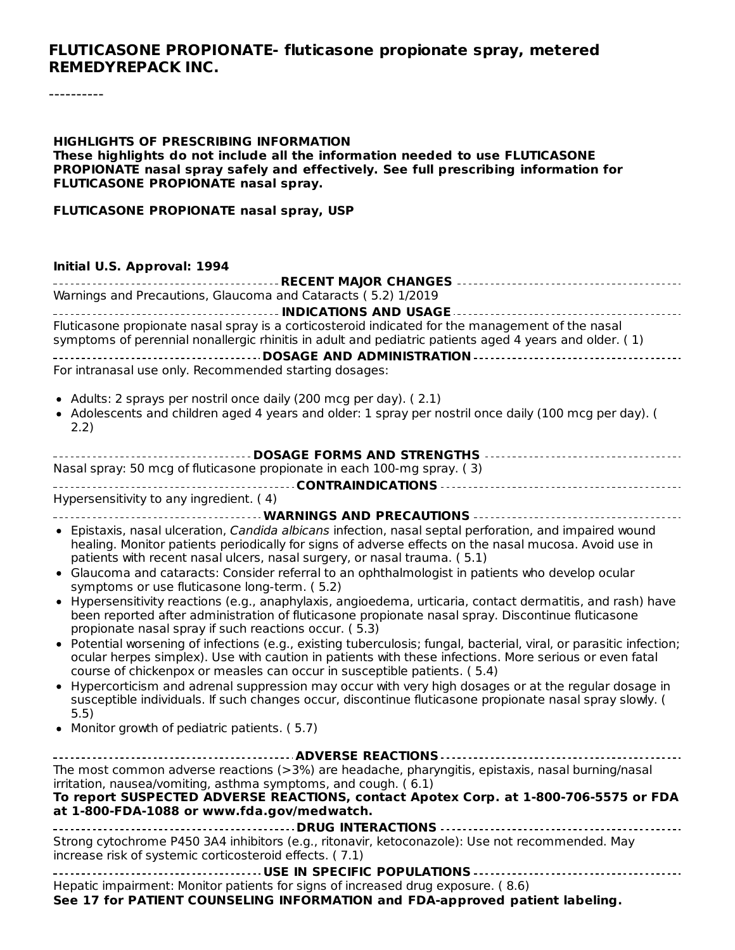#### **FLUTICASONE PROPIONATE- fluticasone propionate spray, metered REMEDYREPACK INC.**

----------

#### **HIGHLIGHTS OF PRESCRIBING INFORMATION These highlights do not include all the information needed to use FLUTICASONE PROPIONATE nasal spray safely and effectively. See full prescribing information for FLUTICASONE PROPIONATE nasal spray.**

#### **FLUTICASONE PROPIONATE nasal spray, USP**

#### **Initial U.S. Approval: 1994**

| Warnings and Precautions, Glaucoma and Cataracts (5.2) 1/2019                                                                                                                                                   |
|-----------------------------------------------------------------------------------------------------------------------------------------------------------------------------------------------------------------|
|                                                                                                                                                                                                                 |
| Fluticasone propionate nasal spray is a corticosteroid indicated for the management of the nasal                                                                                                                |
| symptoms of perennial nonallergic rhinitis in adult and pediatric patients aged 4 years and older. (1)                                                                                                          |
| DOSAGE AND ADMINISTRATION -----------------------------------<br>For intranasal use only. Recommended starting dosages:                                                                                         |
|                                                                                                                                                                                                                 |
| • Adults: 2 sprays per nostril once daily (200 mcg per day). (2.1)                                                                                                                                              |
| • Adolescents and children aged 4 years and older: 1 spray per nostril once daily (100 mcg per day). (                                                                                                          |
| 2.2)                                                                                                                                                                                                            |
|                                                                                                                                                                                                                 |
| Nasal spray: 50 mcg of fluticasone propionate in each 100-mg spray. (3)                                                                                                                                         |
|                                                                                                                                                                                                                 |
| Hypersensitivity to any ingredient. (4)                                                                                                                                                                         |
|                                                                                                                                                                                                                 |
| • Epistaxis, nasal ulceration, Candida albicans infection, nasal septal perforation, and impaired wound                                                                                                         |
| healing. Monitor patients periodically for signs of adverse effects on the nasal mucosa. Avoid use in                                                                                                           |
| patients with recent nasal ulcers, nasal surgery, or nasal trauma. (5.1)                                                                                                                                        |
| Glaucoma and cataracts: Consider referral to an ophthalmologist in patients who develop ocular<br>$\bullet$                                                                                                     |
| symptoms or use fluticasone long-term. (5.2)                                                                                                                                                                    |
| • Hypersensitivity reactions (e.g., anaphylaxis, angioedema, urticaria, contact dermatitis, and rash) have<br>been reported after administration of fluticasone propionate nasal spray. Discontinue fluticasone |
| propionate nasal spray if such reactions occur. (5.3)                                                                                                                                                           |
| • Potential worsening of infections (e.g., existing tuberculosis; fungal, bacterial, viral, or parasitic infection;                                                                                             |
| ocular herpes simplex). Use with caution in patients with these infections. More serious or even fatal                                                                                                          |
| course of chickenpox or measles can occur in susceptible patients. (5.4)                                                                                                                                        |
| • Hypercorticism and adrenal suppression may occur with very high dosages or at the regular dosage in                                                                                                           |
| susceptible individuals. If such changes occur, discontinue fluticasone propionate nasal spray slowly. (<br>5.5)                                                                                                |
| • Monitor growth of pediatric patients. (5.7)                                                                                                                                                                   |
|                                                                                                                                                                                                                 |
|                                                                                                                                                                                                                 |
| The most common adverse reactions (>3%) are headache, pharyngitis, epistaxis, nasal burning/nasal                                                                                                               |
| irritation, nausea/vomiting, asthma symptoms, and cough. (6.1)                                                                                                                                                  |
| To report SUSPECTED ADVERSE REACTIONS, contact Apotex Corp. at 1-800-706-5575 or FDA<br>at 1-800-FDA-1088 or www.fda.gov/medwatch.                                                                              |
|                                                                                                                                                                                                                 |
| Strong cytochrome P450 3A4 inhibitors (e.g., ritonavir, ketoconazole): Use not recommended. May                                                                                                                 |
| increase risk of systemic corticosteroid effects. (7.1)                                                                                                                                                         |
|                                                                                                                                                                                                                 |
| Hepatic impairment: Monitor patients for signs of increased drug exposure. (8.6)                                                                                                                                |
| See 17 for PATIENT COUNSELING INFORMATION and FDA-approved patient labeling.                                                                                                                                    |
|                                                                                                                                                                                                                 |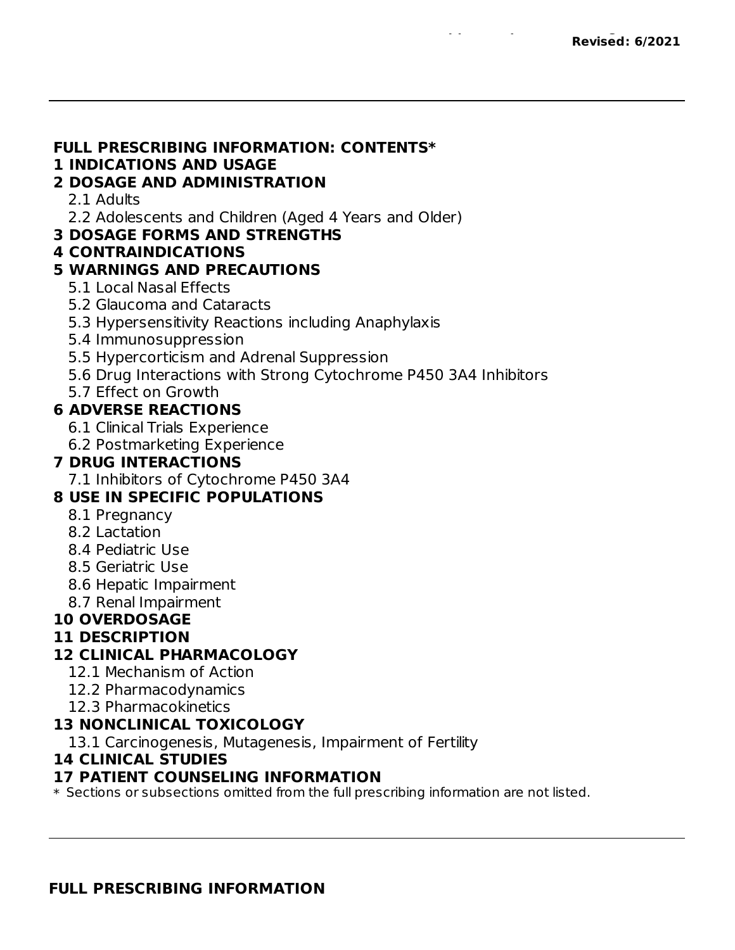#### **FULL PRESCRIBING INFORMATION: CONTENTS\***

#### **1 INDICATIONS AND USAGE**

#### **2 DOSAGE AND ADMINISTRATION**

- 2.1 Adults
- 2.2 Adolescents and Children (Aged 4 Years and Older)
- **3 DOSAGE FORMS AND STRENGTHS**

#### **4 CONTRAINDICATIONS**

#### **5 WARNINGS AND PRECAUTIONS**

- 5.1 Local Nasal Effects
- 5.2 Glaucoma and Cataracts
- 5.3 Hypersensitivity Reactions including Anaphylaxis
- 5.4 Immunosuppression
- 5.5 Hypercorticism and Adrenal Suppression
- 5.6 Drug Interactions with Strong Cytochrome P450 3A4 Inhibitors
- 5.7 Effect on Growth

#### **6 ADVERSE REACTIONS**

- 6.1 Clinical Trials Experience
- 6.2 Postmarketing Experience

#### **7 DRUG INTERACTIONS**

7.1 Inhibitors of Cytochrome P450 3A4

#### **8 USE IN SPECIFIC POPULATIONS**

- 8.1 Pregnancy
- 8.2 Lactation
- 8.4 Pediatric Use
- 8.5 Geriatric Use
- 8.6 Hepatic Impairment
- 8.7 Renal Impairment

#### **10 OVERDOSAGE**

#### **11 DESCRIPTION**

#### **12 CLINICAL PHARMACOLOGY**

- 12.1 Mechanism of Action
- 12.2 Pharmacodynamics
- 12.3 Pharmacokinetics

#### **13 NONCLINICAL TOXICOLOGY**

13.1 Carcinogenesis, Mutagenesis, Impairment of Fertility

#### **14 CLINICAL STUDIES**

#### **17 PATIENT COUNSELING INFORMATION**

 $\ast$  Sections or subsections omitted from the full prescribing information are not listed.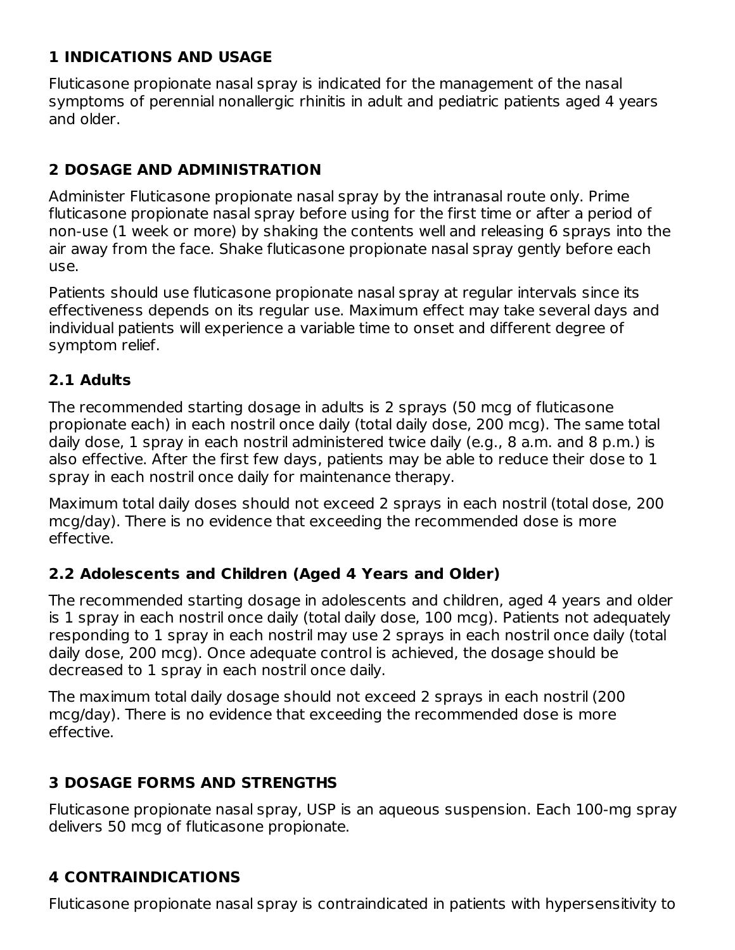#### **1 INDICATIONS AND USAGE**

Fluticasone propionate nasal spray is indicated for the management of the nasal symptoms of perennial nonallergic rhinitis in adult and pediatric patients aged 4 years and older.

## **2 DOSAGE AND ADMINISTRATION**

Administer Fluticasone propionate nasal spray by the intranasal route only. Prime fluticasone propionate nasal spray before using for the first time or after a period of non-use (1 week or more) by shaking the contents well and releasing 6 sprays into the air away from the face. Shake fluticasone propionate nasal spray gently before each use.

Patients should use fluticasone propionate nasal spray at regular intervals since its effectiveness depends on its regular use. Maximum effect may take several days and individual patients will experience a variable time to onset and different degree of symptom relief.

#### **2.1 Adults**

The recommended starting dosage in adults is 2 sprays (50 mcg of fluticasone propionate each) in each nostril once daily (total daily dose, 200 mcg). The same total daily dose, 1 spray in each nostril administered twice daily (e.g., 8 a.m. and 8 p.m.) is also effective. After the first few days, patients may be able to reduce their dose to 1 spray in each nostril once daily for maintenance therapy.

Maximum total daily doses should not exceed 2 sprays in each nostril (total dose, 200 mcg/day). There is no evidence that exceeding the recommended dose is more effective.

#### **2.2 Adolescents and Children (Aged 4 Years and Older)**

The recommended starting dosage in adolescents and children, aged 4 years and older is 1 spray in each nostril once daily (total daily dose, 100 mcg). Patients not adequately responding to 1 spray in each nostril may use 2 sprays in each nostril once daily (total daily dose, 200 mcg). Once adequate control is achieved, the dosage should be decreased to 1 spray in each nostril once daily.

The maximum total daily dosage should not exceed 2 sprays in each nostril (200 mcg/day). There is no evidence that exceeding the recommended dose is more effective.

## **3 DOSAGE FORMS AND STRENGTHS**

Fluticasone propionate nasal spray, USP is an aqueous suspension. Each 100-mg spray delivers 50 mcg of fluticasone propionate.

## **4 CONTRAINDICATIONS**

Fluticasone propionate nasal spray is contraindicated in patients with hypersensitivity to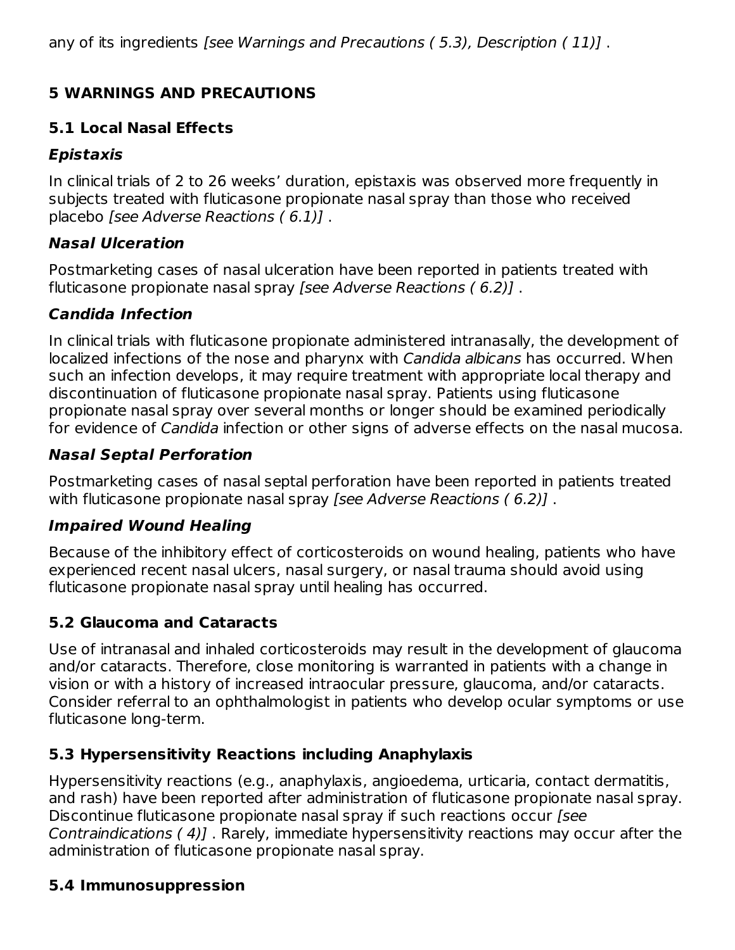## **5 WARNINGS AND PRECAUTIONS**

## **5.1 Local Nasal Effects**

## **Epistaxis**

In clinical trials of 2 to 26 weeks' duration, epistaxis was observed more frequently in subjects treated with fluticasone propionate nasal spray than those who received placebo [see Adverse Reactions ( 6.1)] .

## **Nasal Ulceration**

Postmarketing cases of nasal ulceration have been reported in patients treated with fluticasone propionate nasal spray [see Adverse Reactions ( 6.2)] .

## **Candida Infection**

In clinical trials with fluticasone propionate administered intranasally, the development of localized infections of the nose and pharynx with Candida albicans has occurred. When such an infection develops, it may require treatment with appropriate local therapy and discontinuation of fluticasone propionate nasal spray. Patients using fluticasone propionate nasal spray over several months or longer should be examined periodically for evidence of Candida infection or other signs of adverse effects on the nasal mucosa.

## **Nasal Septal Perforation**

Postmarketing cases of nasal septal perforation have been reported in patients treated with fluticasone propionate nasal spray [see Adverse Reactions (6.2)].

## **Impaired Wound Healing**

Because of the inhibitory effect of corticosteroids on wound healing, patients who have experienced recent nasal ulcers, nasal surgery, or nasal trauma should avoid using fluticasone propionate nasal spray until healing has occurred.

## **5.2 Glaucoma and Cataracts**

Use of intranasal and inhaled corticosteroids may result in the development of glaucoma and/or cataracts. Therefore, close monitoring is warranted in patients with a change in vision or with a history of increased intraocular pressure, glaucoma, and/or cataracts. Consider referral to an ophthalmologist in patients who develop ocular symptoms or use fluticasone long-term.

## **5.3 Hypersensitivity Reactions including Anaphylaxis**

Hypersensitivity reactions (e.g., anaphylaxis, angioedema, urticaria, contact dermatitis, and rash) have been reported after administration of fluticasone propionate nasal spray. Discontinue fluticasone propionate nasal spray if such reactions occur [see Contraindications ( 4)] . Rarely, immediate hypersensitivity reactions may occur after the administration of fluticasone propionate nasal spray.

## **5.4 Immunosuppression**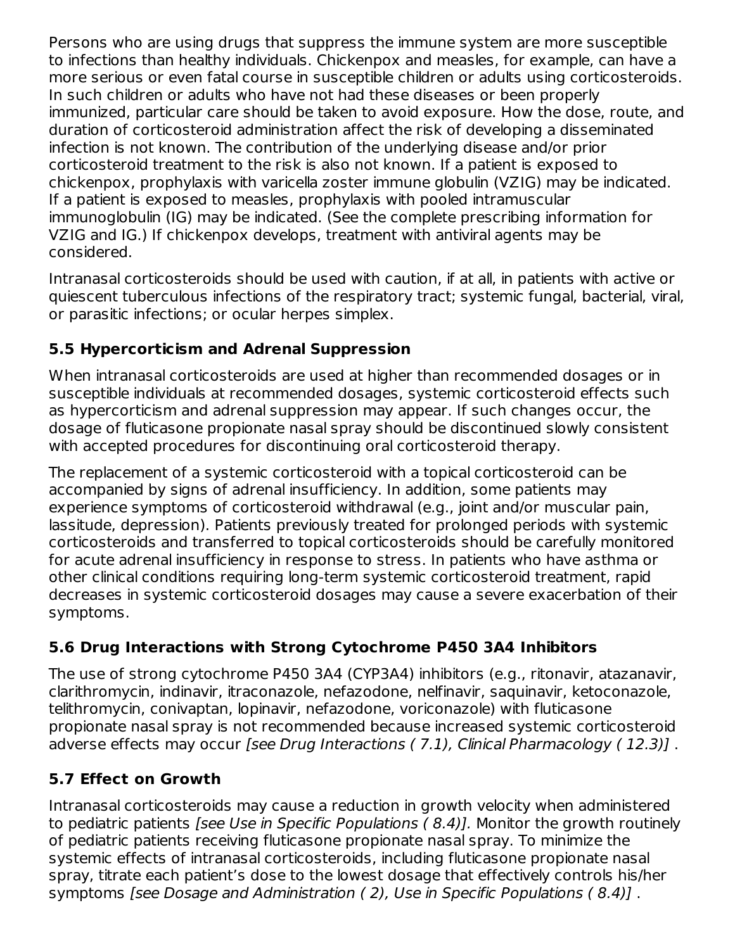Persons who are using drugs that suppress the immune system are more susceptible to infections than healthy individuals. Chickenpox and measles, for example, can have a more serious or even fatal course in susceptible children or adults using corticosteroids. In such children or adults who have not had these diseases or been properly immunized, particular care should be taken to avoid exposure. How the dose, route, and duration of corticosteroid administration affect the risk of developing a disseminated infection is not known. The contribution of the underlying disease and/or prior corticosteroid treatment to the risk is also not known. If a patient is exposed to chickenpox, prophylaxis with varicella zoster immune globulin (VZIG) may be indicated. If a patient is exposed to measles, prophylaxis with pooled intramuscular immunoglobulin (IG) may be indicated. (See the complete prescribing information for VZIG and IG.) If chickenpox develops, treatment with antiviral agents may be considered.

Intranasal corticosteroids should be used with caution, if at all, in patients with active or quiescent tuberculous infections of the respiratory tract; systemic fungal, bacterial, viral, or parasitic infections; or ocular herpes simplex.

## **5.5 Hypercorticism and Adrenal Suppression**

When intranasal corticosteroids are used at higher than recommended dosages or in susceptible individuals at recommended dosages, systemic corticosteroid effects such as hypercorticism and adrenal suppression may appear. If such changes occur, the dosage of fluticasone propionate nasal spray should be discontinued slowly consistent with accepted procedures for discontinuing oral corticosteroid therapy.

The replacement of a systemic corticosteroid with a topical corticosteroid can be accompanied by signs of adrenal insufficiency. In addition, some patients may experience symptoms of corticosteroid withdrawal (e.g., joint and/or muscular pain, lassitude, depression). Patients previously treated for prolonged periods with systemic corticosteroids and transferred to topical corticosteroids should be carefully monitored for acute adrenal insufficiency in response to stress. In patients who have asthma or other clinical conditions requiring long-term systemic corticosteroid treatment, rapid decreases in systemic corticosteroid dosages may cause a severe exacerbation of their symptoms.

## **5.6 Drug Interactions with Strong Cytochrome P450 3A4 Inhibitors**

The use of strong cytochrome P450 3A4 (CYP3A4) inhibitors (e.g., ritonavir, atazanavir, clarithromycin, indinavir, itraconazole, nefazodone, nelfinavir, saquinavir, ketoconazole, telithromycin, conivaptan, lopinavir, nefazodone, voriconazole) with fluticasone propionate nasal spray is not recommended because increased systemic corticosteroid adverse effects may occur [see Drug Interactions (7.1), Clinical Pharmacology (12.3)].

## **5.7 Effect on Growth**

Intranasal corticosteroids may cause a reduction in growth velocity when administered to pediatric patients *[see Use in Specific Populations (8.4)]*. Monitor the growth routinely of pediatric patients receiving fluticasone propionate nasal spray. To minimize the systemic effects of intranasal corticosteroids, including fluticasone propionate nasal spray, titrate each patient's dose to the lowest dosage that effectively controls his/her symptoms [see Dosage and Administration ( 2), Use in Specific Populations ( 8.4)] .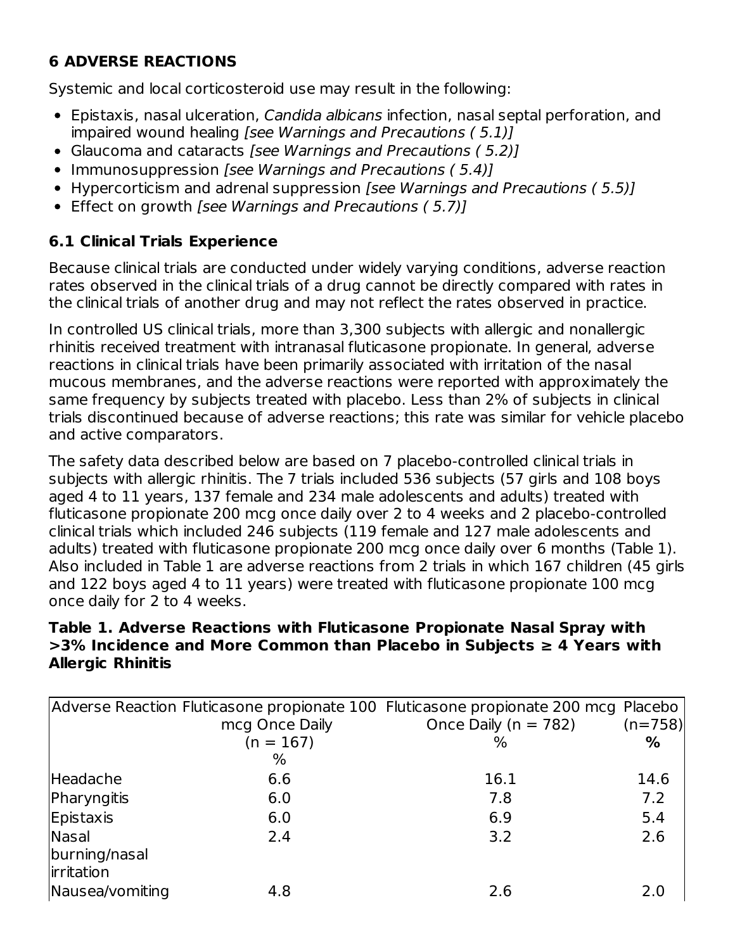## **6 ADVERSE REACTIONS**

Systemic and local corticosteroid use may result in the following:

- Epistaxis, nasal ulceration, Candida albicans infection, nasal septal perforation, and impaired wound healing [see Warnings and Precautions ( 5.1)]
- Glaucoma and cataracts [see Warnings and Precautions (5.2)]
- Immunosuppression [see Warnings and Precautions (5.4)]
- Hypercorticism and adrenal suppression *[see Warnings and Precautions (5.5)]*
- Effect on growth [see Warnings and Precautions (5.7)]

#### **6.1 Clinical Trials Experience**

Because clinical trials are conducted under widely varying conditions, adverse reaction rates observed in the clinical trials of a drug cannot be directly compared with rates in the clinical trials of another drug and may not reflect the rates observed in practice.

In controlled US clinical trials, more than 3,300 subjects with allergic and nonallergic rhinitis received treatment with intranasal fluticasone propionate. In general, adverse reactions in clinical trials have been primarily associated with irritation of the nasal mucous membranes, and the adverse reactions were reported with approximately the same frequency by subjects treated with placebo. Less than 2% of subjects in clinical trials discontinued because of adverse reactions; this rate was similar for vehicle placebo and active comparators.

The safety data described below are based on 7 placebo-controlled clinical trials in subjects with allergic rhinitis. The 7 trials included 536 subjects (57 girls and 108 boys aged 4 to 11 years, 137 female and 234 male adolescents and adults) treated with fluticasone propionate 200 mcg once daily over 2 to 4 weeks and 2 placebo-controlled clinical trials which included 246 subjects (119 female and 127 male adolescents and adults) treated with fluticasone propionate 200 mcg once daily over 6 months (Table 1). Also included in Table 1 are adverse reactions from 2 trials in which 167 children (45 girls and 122 boys aged 4 to 11 years) were treated with fluticasone propionate 100 mcg once daily for 2 to 4 weeks.

#### **Table 1. Adverse Reactions with Fluticasone Propionate Nasal Spray with >3% Incidence and More Common than Placebo in Subjects ≥ 4 Years with Allergic Rhinitis**

|                 |                | Adverse Reaction Fluticasone propionate 100 Fluticasone propionate 200 mcg Placebo |           |
|-----------------|----------------|------------------------------------------------------------------------------------|-----------|
|                 | mcg Once Daily | Once Daily ( $n = 782$ )                                                           | $(n=758)$ |
|                 | $(n = 167)$    | $\%$                                                                               | %         |
|                 | %              |                                                                                    |           |
| Headache        | 6.6            | 16.1                                                                               | 14.6      |
| Pharyngitis     | 6.0            | 7.8                                                                                | 7.2       |
| Epistaxis       | 6.0            | 6.9                                                                                | 5.4       |
| Nasal           | 2.4            | 3.2                                                                                | 2.6       |
| burning/nasal   |                |                                                                                    |           |
| irritation      |                |                                                                                    |           |
| Nausea/vomiting | 4.8            | 2.6                                                                                | 2.0       |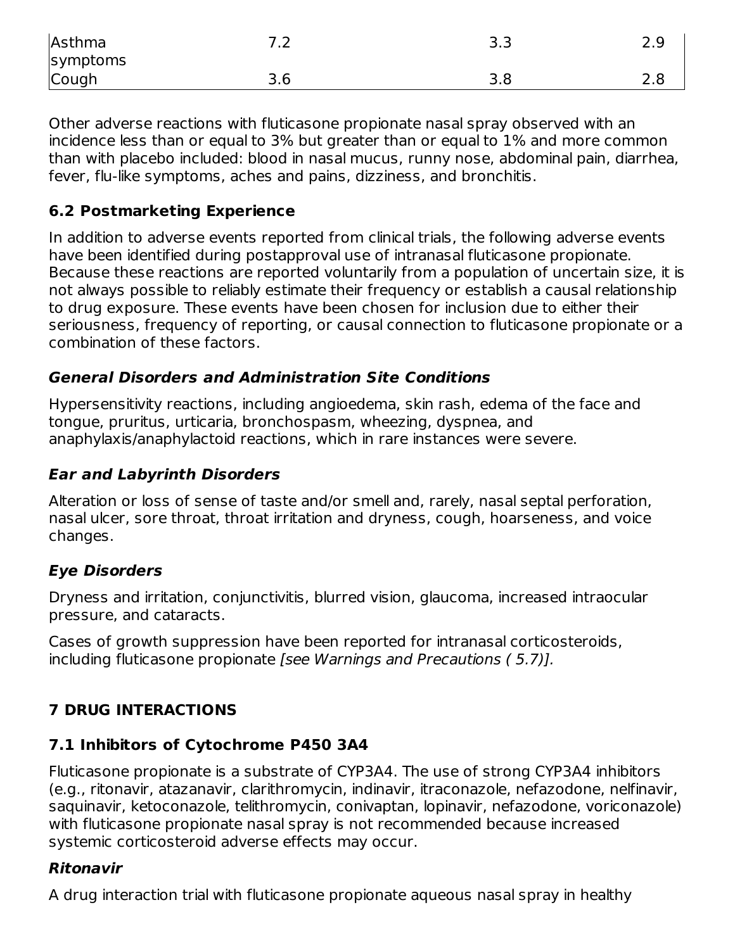| Asthma   | 77<br>$\overline{\phantom{a}}$ | د.د       | 2.9 |
|----------|--------------------------------|-----------|-----|
| symptoms |                                |           |     |
| Cough    | 3.6                            | ס כ<br>.o | 2.8 |

Other adverse reactions with fluticasone propionate nasal spray observed with an incidence less than or equal to 3% but greater than or equal to 1% and more common than with placebo included: blood in nasal mucus, runny nose, abdominal pain, diarrhea, fever, flu-like symptoms, aches and pains, dizziness, and bronchitis.

#### **6.2 Postmarketing Experience**

In addition to adverse events reported from clinical trials, the following adverse events have been identified during postapproval use of intranasal fluticasone propionate. Because these reactions are reported voluntarily from a population of uncertain size, it is not always possible to reliably estimate their frequency or establish a causal relationship to drug exposure. These events have been chosen for inclusion due to either their seriousness, frequency of reporting, or causal connection to fluticasone propionate or a combination of these factors.

#### **General Disorders and Administration Site Conditions**

Hypersensitivity reactions, including angioedema, skin rash, edema of the face and tongue, pruritus, urticaria, bronchospasm, wheezing, dyspnea, and anaphylaxis/anaphylactoid reactions, which in rare instances were severe.

#### **Ear and Labyrinth Disorders**

Alteration or loss of sense of taste and/or smell and, rarely, nasal septal perforation, nasal ulcer, sore throat, throat irritation and dryness, cough, hoarseness, and voice changes.

#### **Eye Disorders**

Dryness and irritation, conjunctivitis, blurred vision, glaucoma, increased intraocular pressure, and cataracts.

Cases of growth suppression have been reported for intranasal corticosteroids, including fluticasone propionate [see Warnings and Precautions ( 5.7)].

## **7 DRUG INTERACTIONS**

#### **7.1 Inhibitors of Cytochrome P450 3A4**

Fluticasone propionate is a substrate of CYP3A4. The use of strong CYP3A4 inhibitors (e.g., ritonavir, atazanavir, clarithromycin, indinavir, itraconazole, nefazodone, nelfinavir, saquinavir, ketoconazole, telithromycin, conivaptan, lopinavir, nefazodone, voriconazole) with fluticasone propionate nasal spray is not recommended because increased systemic corticosteroid adverse effects may occur.

#### **Ritonavir**

A drug interaction trial with fluticasone propionate aqueous nasal spray in healthy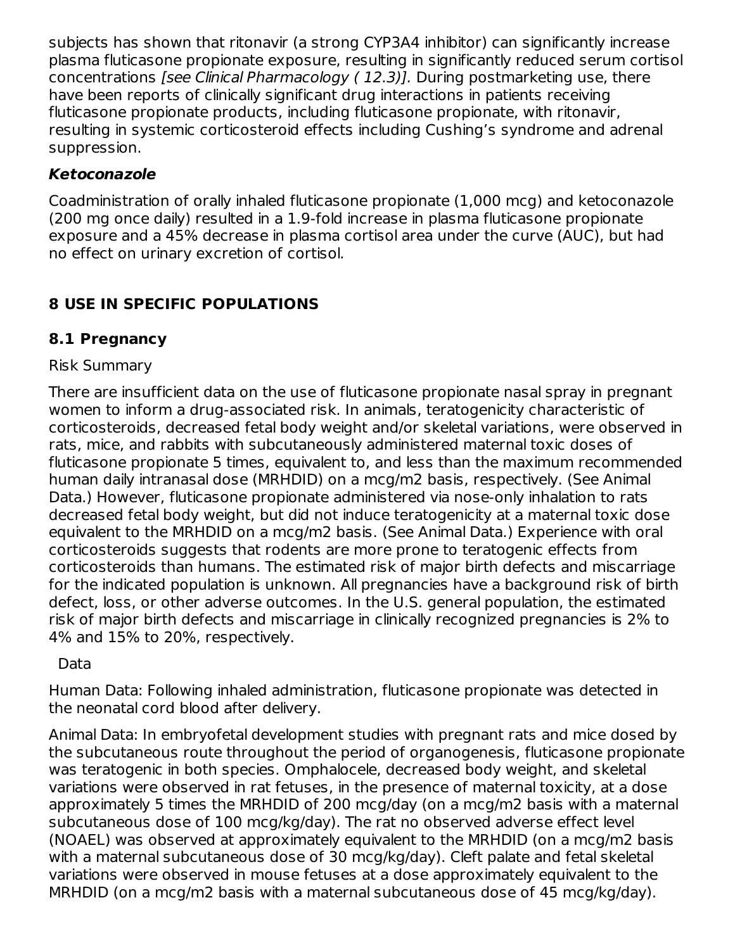subjects has shown that ritonavir (a strong CYP3A4 inhibitor) can significantly increase plasma fluticasone propionate exposure, resulting in significantly reduced serum cortisol concentrations [see Clinical Pharmacology ( 12.3)]. During postmarketing use, there have been reports of clinically significant drug interactions in patients receiving fluticasone propionate products, including fluticasone propionate, with ritonavir, resulting in systemic corticosteroid effects including Cushing's syndrome and adrenal suppression.

#### **Ketoconazole**

Coadministration of orally inhaled fluticasone propionate (1,000 mcg) and ketoconazole (200 mg once daily) resulted in a 1.9-fold increase in plasma fluticasone propionate exposure and a 45% decrease in plasma cortisol area under the curve (AUC), but had no effect on urinary excretion of cortisol.

## **8 USE IN SPECIFIC POPULATIONS**

## **8.1 Pregnancy**

#### Risk Summary

There are insufficient data on the use of fluticasone propionate nasal spray in pregnant women to inform a drug-associated risk. In animals, teratogenicity characteristic of corticosteroids, decreased fetal body weight and/or skeletal variations, were observed in rats, mice, and rabbits with subcutaneously administered maternal toxic doses of fluticasone propionate 5 times, equivalent to, and less than the maximum recommended human daily intranasal dose (MRHDID) on a mcg/m2 basis, respectively. (See Animal Data.) However, fluticasone propionate administered via nose-only inhalation to rats decreased fetal body weight, but did not induce teratogenicity at a maternal toxic dose equivalent to the MRHDID on a mcg/m2 basis. (See Animal Data.) Experience with oral corticosteroids suggests that rodents are more prone to teratogenic effects from corticosteroids than humans. The estimated risk of major birth defects and miscarriage for the indicated population is unknown. All pregnancies have a background risk of birth defect, loss, or other adverse outcomes. In the U.S. general population, the estimated risk of major birth defects and miscarriage in clinically recognized pregnancies is 2% to 4% and 15% to 20%, respectively.

#### Data

Human Data: Following inhaled administration, fluticasone propionate was detected in the neonatal cord blood after delivery.

Animal Data: In embryofetal development studies with pregnant rats and mice dosed by the subcutaneous route throughout the period of organogenesis, fluticasone propionate was teratogenic in both species. Omphalocele, decreased body weight, and skeletal variations were observed in rat fetuses, in the presence of maternal toxicity, at a dose approximately 5 times the MRHDID of 200 mcg/day (on a mcg/m2 basis with a maternal subcutaneous dose of 100 mcg/kg/day). The rat no observed adverse effect level (NOAEL) was observed at approximately equivalent to the MRHDID (on a mcg/m2 basis with a maternal subcutaneous dose of 30 mcg/kg/day). Cleft palate and fetal skeletal variations were observed in mouse fetuses at a dose approximately equivalent to the MRHDID (on a mcg/m2 basis with a maternal subcutaneous dose of 45 mcg/kg/day).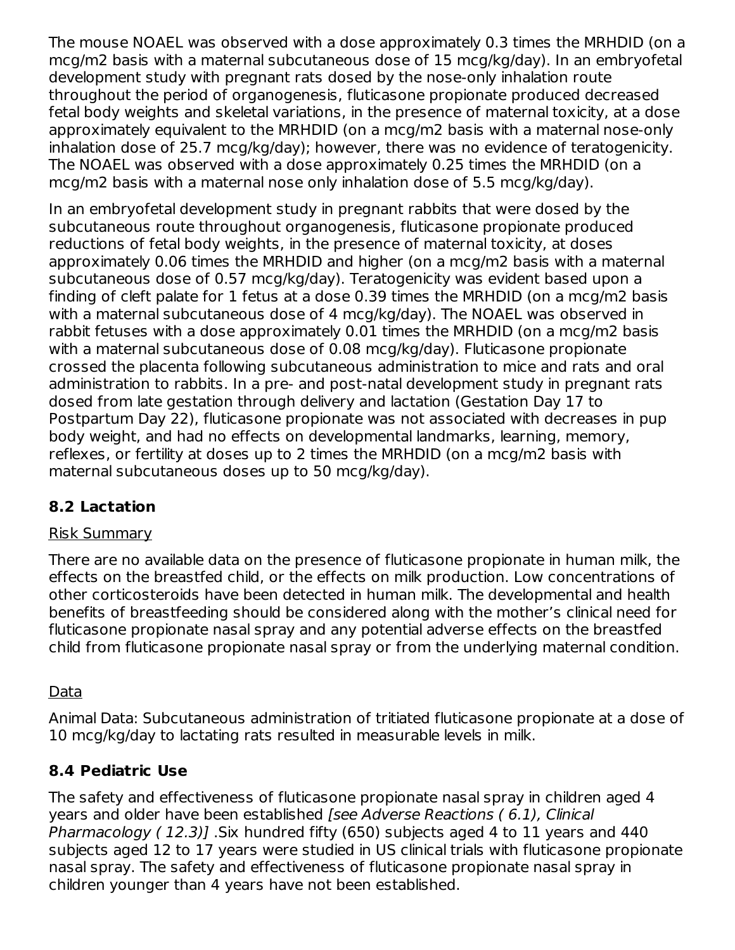The mouse NOAEL was observed with a dose approximately 0.3 times the MRHDID (on a mcg/m2 basis with a maternal subcutaneous dose of 15 mcg/kg/day). In an embryofetal development study with pregnant rats dosed by the nose-only inhalation route throughout the period of organogenesis, fluticasone propionate produced decreased fetal body weights and skeletal variations, in the presence of maternal toxicity, at a dose approximately equivalent to the MRHDID (on a mcg/m2 basis with a maternal nose-only inhalation dose of 25.7 mcg/kg/day); however, there was no evidence of teratogenicity. The NOAEL was observed with a dose approximately 0.25 times the MRHDID (on a mcg/m2 basis with a maternal nose only inhalation dose of 5.5 mcg/kg/day).

In an embryofetal development study in pregnant rabbits that were dosed by the subcutaneous route throughout organogenesis, fluticasone propionate produced reductions of fetal body weights, in the presence of maternal toxicity, at doses approximately 0.06 times the MRHDID and higher (on a mcg/m2 basis with a maternal subcutaneous dose of 0.57 mcg/kg/day). Teratogenicity was evident based upon a finding of cleft palate for 1 fetus at a dose 0.39 times the MRHDID (on a mcg/m2 basis with a maternal subcutaneous dose of 4 mcg/kg/day). The NOAEL was observed in rabbit fetuses with a dose approximately 0.01 times the MRHDID (on a mcg/m2 basis with a maternal subcutaneous dose of 0.08 mcg/kg/day). Fluticasone propionate crossed the placenta following subcutaneous administration to mice and rats and oral administration to rabbits. In a pre- and post-natal development study in pregnant rats dosed from late gestation through delivery and lactation (Gestation Day 17 to Postpartum Day 22), fluticasone propionate was not associated with decreases in pup body weight, and had no effects on developmental landmarks, learning, memory, reflexes, or fertility at doses up to 2 times the MRHDID (on a mcg/m2 basis with maternal subcutaneous doses up to 50 mcg/kg/day).

## **8.2 Lactation**

#### Risk Summary

There are no available data on the presence of fluticasone propionate in human milk, the effects on the breastfed child, or the effects on milk production. Low concentrations of other corticosteroids have been detected in human milk. The developmental and health benefits of breastfeeding should be considered along with the mother's clinical need for fluticasone propionate nasal spray and any potential adverse effects on the breastfed child from fluticasone propionate nasal spray or from the underlying maternal condition.

#### **Data**

Animal Data: Subcutaneous administration of tritiated fluticasone propionate at a dose of 10 mcg/kg/day to lactating rats resulted in measurable levels in milk.

#### **8.4 Pediatric Use**

The safety and effectiveness of fluticasone propionate nasal spray in children aged 4 years and older have been established [see Adverse Reactions ( 6.1), Clinical Pharmacology (12.3)] .Six hundred fifty (650) subjects aged 4 to 11 years and 440 subjects aged 12 to 17 years were studied in US clinical trials with fluticasone propionate nasal spray. The safety and effectiveness of fluticasone propionate nasal spray in children younger than 4 years have not been established.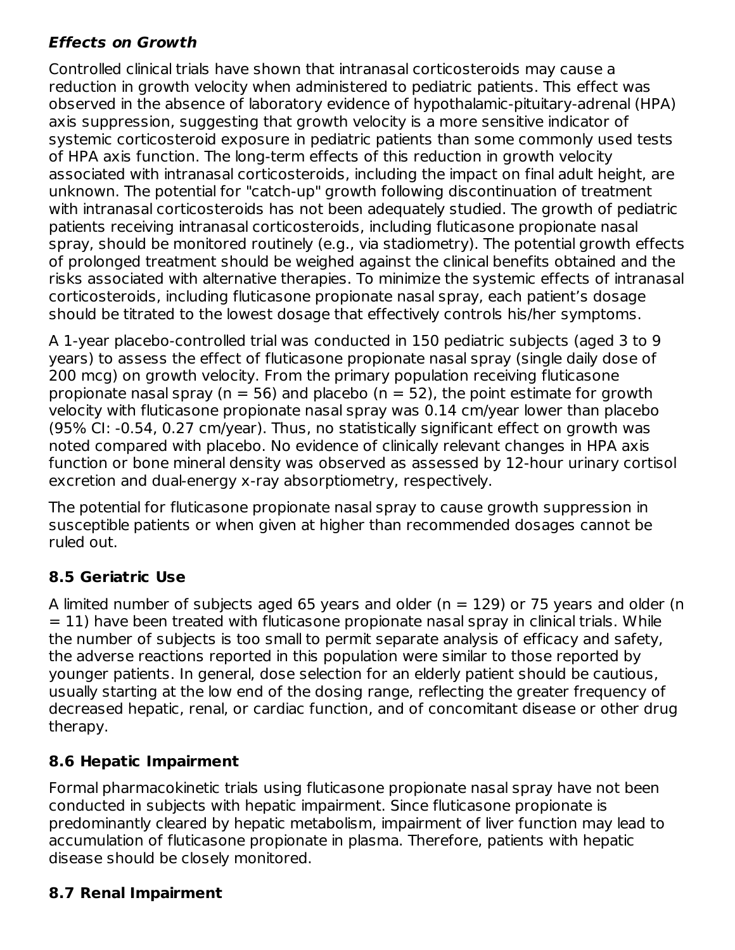#### **Effects on Growth**

Controlled clinical trials have shown that intranasal corticosteroids may cause a reduction in growth velocity when administered to pediatric patients. This effect was observed in the absence of laboratory evidence of hypothalamic-pituitary-adrenal (HPA) axis suppression, suggesting that growth velocity is a more sensitive indicator of systemic corticosteroid exposure in pediatric patients than some commonly used tests of HPA axis function. The long-term effects of this reduction in growth velocity associated with intranasal corticosteroids, including the impact on final adult height, are unknown. The potential for "catch-up" growth following discontinuation of treatment with intranasal corticosteroids has not been adequately studied. The growth of pediatric patients receiving intranasal corticosteroids, including fluticasone propionate nasal spray, should be monitored routinely (e.g., via stadiometry). The potential growth effects of prolonged treatment should be weighed against the clinical benefits obtained and the risks associated with alternative therapies. To minimize the systemic effects of intranasal corticosteroids, including fluticasone propionate nasal spray, each patient's dosage should be titrated to the lowest dosage that effectively controls his/her symptoms.

A 1-year placebo-controlled trial was conducted in 150 pediatric subjects (aged 3 to 9 years) to assess the effect of fluticasone propionate nasal spray (single daily dose of 200 mcg) on growth velocity. From the primary population receiving fluticasone propionate nasal spray ( $n = 56$ ) and placebo ( $n = 52$ ), the point estimate for growth velocity with fluticasone propionate nasal spray was 0.14 cm/year lower than placebo (95% CI: -0.54, 0.27 cm/year). Thus, no statistically significant effect on growth was noted compared with placebo. No evidence of clinically relevant changes in HPA axis function or bone mineral density was observed as assessed by 12-hour urinary cortisol excretion and dual-energy x-ray absorptiometry, respectively.

The potential for fluticasone propionate nasal spray to cause growth suppression in susceptible patients or when given at higher than recommended dosages cannot be ruled out.

## **8.5 Geriatric Use**

A limited number of subjects aged 65 years and older ( $n = 129$ ) or 75 years and older (n  $= 11$ ) have been treated with fluticasone propionate nasal spray in clinical trials. While the number of subjects is too small to permit separate analysis of efficacy and safety, the adverse reactions reported in this population were similar to those reported by younger patients. In general, dose selection for an elderly patient should be cautious, usually starting at the low end of the dosing range, reflecting the greater frequency of decreased hepatic, renal, or cardiac function, and of concomitant disease or other drug therapy.

#### **8.6 Hepatic Impairment**

Formal pharmacokinetic trials using fluticasone propionate nasal spray have not been conducted in subjects with hepatic impairment. Since fluticasone propionate is predominantly cleared by hepatic metabolism, impairment of liver function may lead to accumulation of fluticasone propionate in plasma. Therefore, patients with hepatic disease should be closely monitored.

#### **8.7 Renal Impairment**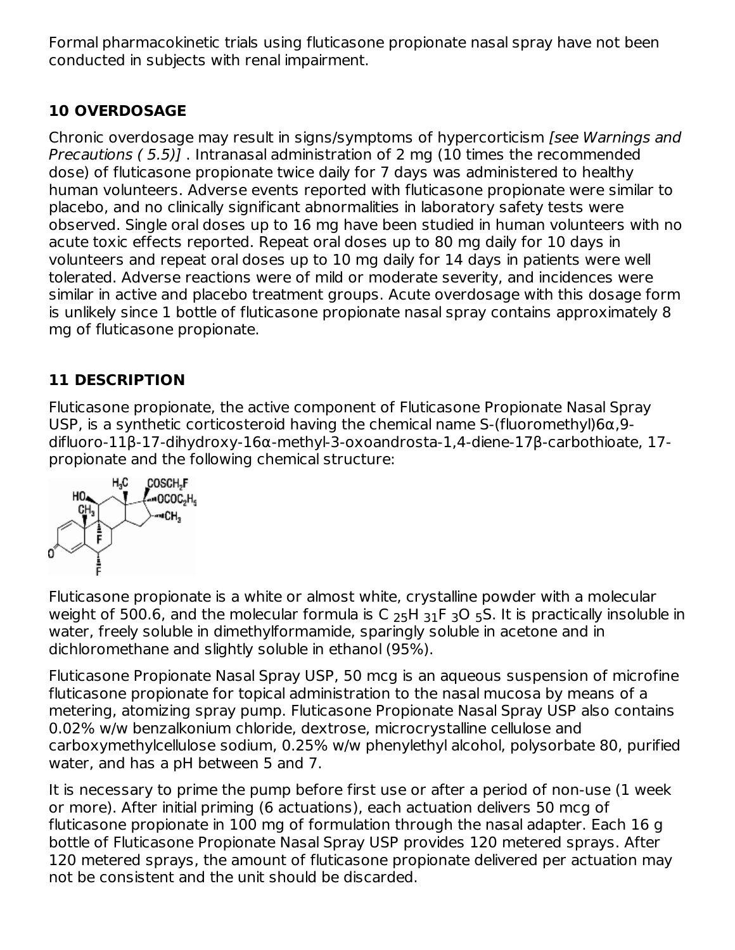Formal pharmacokinetic trials using fluticasone propionate nasal spray have not been conducted in subjects with renal impairment.

## **10 OVERDOSAGE**

Chronic overdosage may result in signs/symptoms of hypercorticism [see Warnings and Precautions ( 5.5)] . Intranasal administration of 2 mg (10 times the recommended dose) of fluticasone propionate twice daily for 7 days was administered to healthy human volunteers. Adverse events reported with fluticasone propionate were similar to placebo, and no clinically significant abnormalities in laboratory safety tests were observed. Single oral doses up to 16 mg have been studied in human volunteers with no acute toxic effects reported. Repeat oral doses up to 80 mg daily for 10 days in volunteers and repeat oral doses up to 10 mg daily for 14 days in patients were well tolerated. Adverse reactions were of mild or moderate severity, and incidences were similar in active and placebo treatment groups. Acute overdosage with this dosage form is unlikely since 1 bottle of fluticasone propionate nasal spray contains approximately 8 mg of fluticasone propionate.

## **11 DESCRIPTION**

Fluticasone propionate, the active component of Fluticasone Propionate Nasal Spray USP, is a synthetic corticosteroid having the chemical name S-(fluoromethyl)6 $\alpha$ ,9difluoro-11β-17-dihydroxy-16α-methyl-3-oxoandrosta-1,4-diene-17β-carbothioate, 17 propionate and the following chemical structure:



Fluticasone propionate is a white or almost white, crystalline powder with a molecular weight of 500.6, and the molecular formula is C  $_{25}$ H  $_{31}$ F  $_{3}$ O  $_{5}$ S. It is practically insoluble in water, freely soluble in dimethylformamide, sparingly soluble in acetone and in dichloromethane and slightly soluble in ethanol (95%).

Fluticasone Propionate Nasal Spray USP, 50 mcg is an aqueous suspension of microfine fluticasone propionate for topical administration to the nasal mucosa by means of a metering, atomizing spray pump. Fluticasone Propionate Nasal Spray USP also contains 0.02% w/w benzalkonium chloride, dextrose, microcrystalline cellulose and carboxymethylcellulose sodium, 0.25% w/w phenylethyl alcohol, polysorbate 80, purified water, and has a pH between 5 and 7.

It is necessary to prime the pump before first use or after a period of non-use (1 week or more). After initial priming (6 actuations), each actuation delivers 50 mcg of fluticasone propionate in 100 mg of formulation through the nasal adapter. Each 16 g bottle of Fluticasone Propionate Nasal Spray USP provides 120 metered sprays. After 120 metered sprays, the amount of fluticasone propionate delivered per actuation may not be consistent and the unit should be discarded.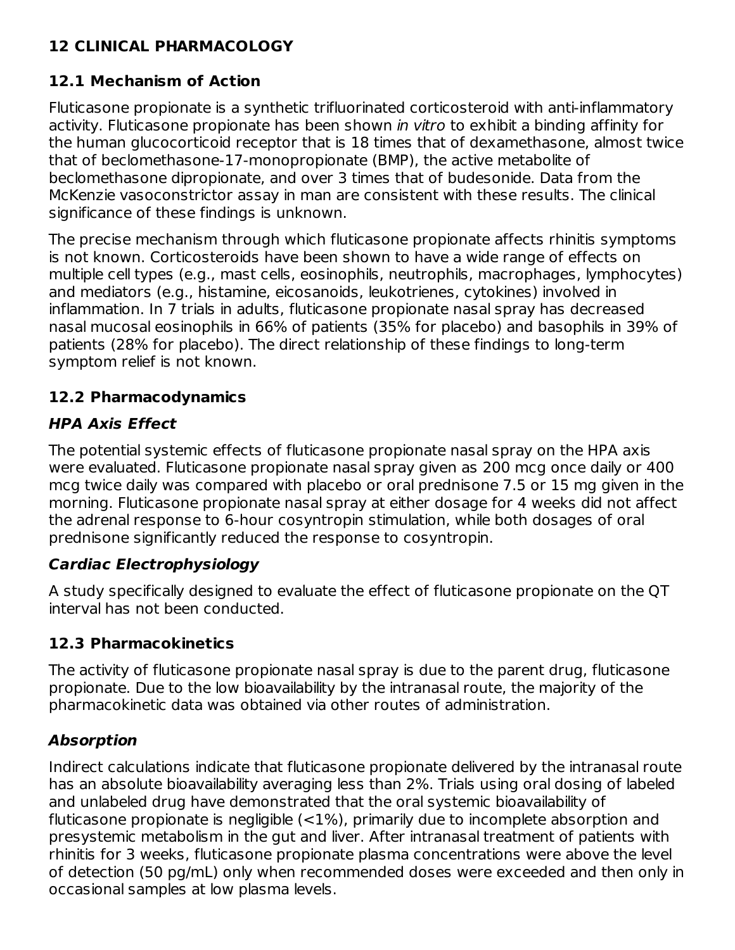## **12 CLINICAL PHARMACOLOGY**

#### **12.1 Mechanism of Action**

Fluticasone propionate is a synthetic trifluorinated corticosteroid with anti-inflammatory activity. Fluticasone propionate has been shown in vitro to exhibit a binding affinity for the human glucocorticoid receptor that is 18 times that of dexamethasone, almost twice that of beclomethasone-17-monopropionate (BMP), the active metabolite of beclomethasone dipropionate, and over 3 times that of budesonide. Data from the McKenzie vasoconstrictor assay in man are consistent with these results. The clinical significance of these findings is unknown.

The precise mechanism through which fluticasone propionate affects rhinitis symptoms is not known. Corticosteroids have been shown to have a wide range of effects on multiple cell types (e.g., mast cells, eosinophils, neutrophils, macrophages, lymphocytes) and mediators (e.g., histamine, eicosanoids, leukotrienes, cytokines) involved in inflammation. In 7 trials in adults, fluticasone propionate nasal spray has decreased nasal mucosal eosinophils in 66% of patients (35% for placebo) and basophils in 39% of patients (28% for placebo). The direct relationship of these findings to long-term symptom relief is not known.

## **12.2 Pharmacodynamics**

## **HPA Axis Effect**

The potential systemic effects of fluticasone propionate nasal spray on the HPA axis were evaluated. Fluticasone propionate nasal spray given as 200 mcg once daily or 400 mcg twice daily was compared with placebo or oral prednisone 7.5 or 15 mg given in the morning. Fluticasone propionate nasal spray at either dosage for 4 weeks did not affect the adrenal response to 6-hour cosyntropin stimulation, while both dosages of oral prednisone significantly reduced the response to cosyntropin.

## **Cardiac Electrophysiology**

A study specifically designed to evaluate the effect of fluticasone propionate on the QT interval has not been conducted.

#### **12.3 Pharmacokinetics**

The activity of fluticasone propionate nasal spray is due to the parent drug, fluticasone propionate. Due to the low bioavailability by the intranasal route, the majority of the pharmacokinetic data was obtained via other routes of administration.

## **Absorption**

Indirect calculations indicate that fluticasone propionate delivered by the intranasal route has an absolute bioavailability averaging less than 2%. Trials using oral dosing of labeled and unlabeled drug have demonstrated that the oral systemic bioavailability of fluticasone propionate is negligible  $\left($  < 1%), primarily due to incomplete absorption and presystemic metabolism in the gut and liver. After intranasal treatment of patients with rhinitis for 3 weeks, fluticasone propionate plasma concentrations were above the level of detection (50 pg/mL) only when recommended doses were exceeded and then only in occasional samples at low plasma levels.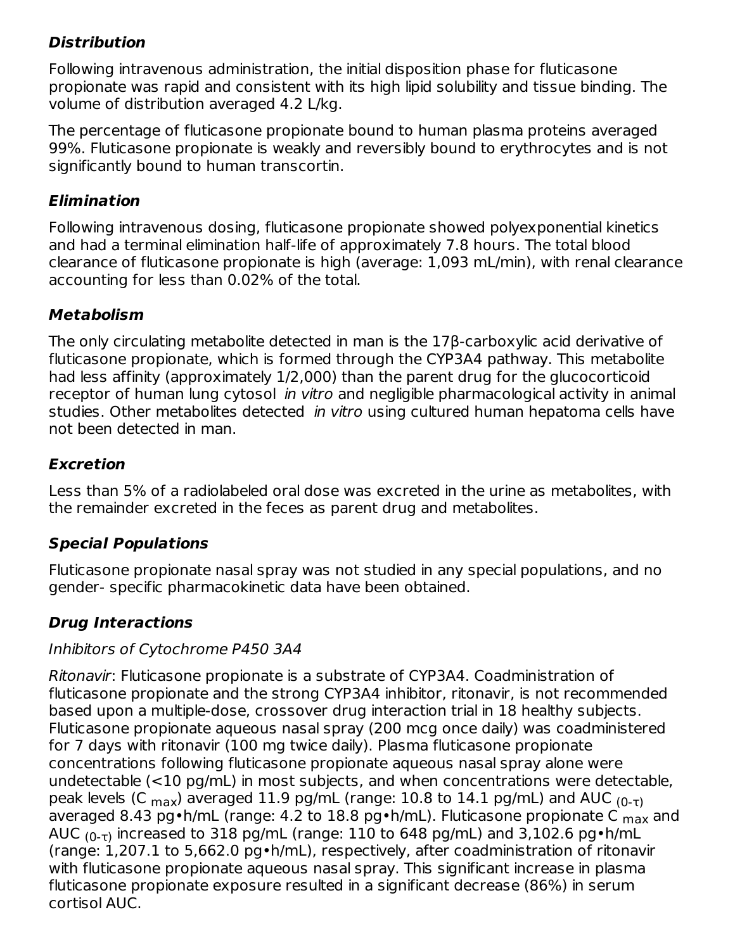## **Distribution**

Following intravenous administration, the initial disposition phase for fluticasone propionate was rapid and consistent with its high lipid solubility and tissue binding. The volume of distribution averaged 4.2 L/kg.

The percentage of fluticasone propionate bound to human plasma proteins averaged 99%. Fluticasone propionate is weakly and reversibly bound to erythrocytes and is not significantly bound to human transcortin.

#### **Elimination**

Following intravenous dosing, fluticasone propionate showed polyexponential kinetics and had a terminal elimination half-life of approximately 7.8 hours. The total blood clearance of fluticasone propionate is high (average: 1,093 mL/min), with renal clearance accounting for less than 0.02% of the total.

#### **Metabolism**

The only circulating metabolite detected in man is the 17β-carboxylic acid derivative of fluticasone propionate, which is formed through the CYP3A4 pathway. This metabolite had less affinity (approximately 1/2,000) than the parent drug for the glucocorticoid receptor of human lung cytosol *in vitro* and negligible pharmacological activity in animal studies. Other metabolites detected *in vitro* using cultured human hepatoma cells have not been detected in man.

#### **Excretion**

Less than 5% of a radiolabeled oral dose was excreted in the urine as metabolites, with the remainder excreted in the feces as parent drug and metabolites.

#### **Special Populations**

Fluticasone propionate nasal spray was not studied in any special populations, and no gender- specific pharmacokinetic data have been obtained.

#### **Drug Interactions**

#### Inhibitors of Cytochrome P450 3A4

Ritonavir: Fluticasone propionate is a substrate of CYP3A4. Coadministration of fluticasone propionate and the strong CYP3A4 inhibitor, ritonavir, is not recommended based upon a multiple-dose, crossover drug interaction trial in 18 healthy subjects. Fluticasone propionate aqueous nasal spray (200 mcg once daily) was coadministered for 7 days with ritonavir (100 mg twice daily). Plasma fluticasone propionate concentrations following fluticasone propionate aqueous nasal spray alone were undetectable (<10 pg/mL) in most subjects, and when concentrations were detectable, peak levels (C <sub>max</sub>) averaged 11.9 pg/mL (range: 10.8 to 14.1 pg/mL) and AUC <sub>(0-τ)</sub> averaged 8.43 pg•h/mL (range: 4.2 to 18.8 pg•h/mL). Fluticasone propionate C <sub>max</sub> and AUC  $_{(0\text{-}\tau)}$  increased to 318 pg/mL (range: 110 to 648 pg/mL) and 3,102.6 pg•h/mL (range: 1,207.1 to 5,662.0 pg•h/mL), respectively, after coadministration of ritonavir with fluticasone propionate aqueous nasal spray. This significant increase in plasma fluticasone propionate exposure resulted in a significant decrease (86%) in serum cortisol AUC.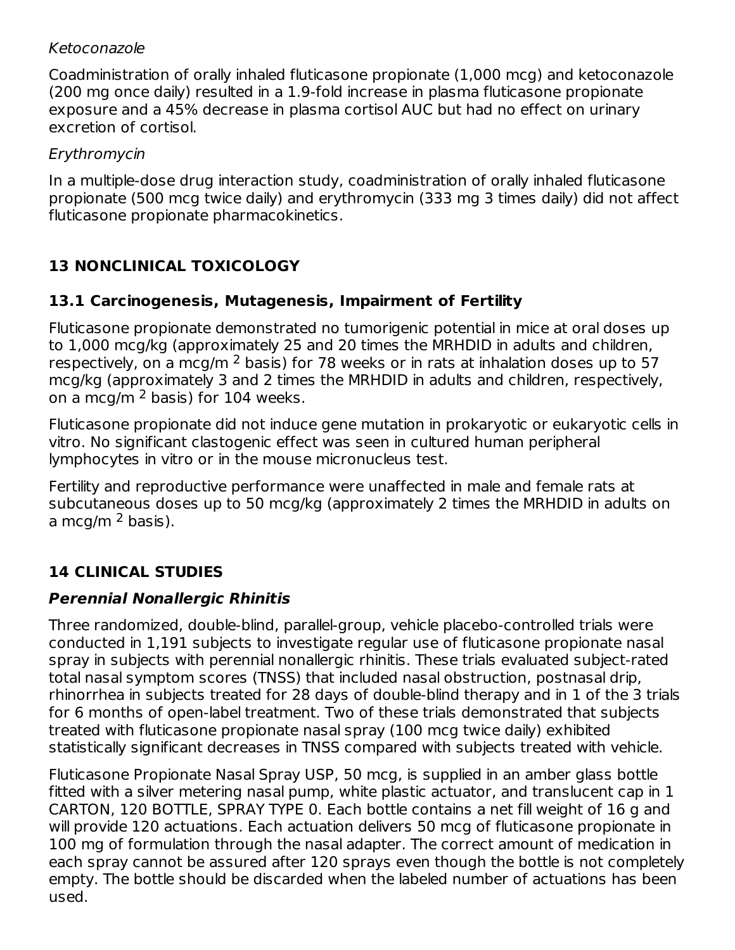#### Ketoconazole

Coadministration of orally inhaled fluticasone propionate (1,000 mcg) and ketoconazole (200 mg once daily) resulted in a 1.9-fold increase in plasma fluticasone propionate exposure and a 45% decrease in plasma cortisol AUC but had no effect on urinary excretion of cortisol.

#### Erythromycin

In a multiple-dose drug interaction study, coadministration of orally inhaled fluticasone propionate (500 mcg twice daily) and erythromycin (333 mg 3 times daily) did not affect fluticasone propionate pharmacokinetics.

## **13 NONCLINICAL TOXICOLOGY**

#### **13.1 Carcinogenesis, Mutagenesis, Impairment of Fertility**

Fluticasone propionate demonstrated no tumorigenic potential in mice at oral doses up to 1,000 mcg/kg (approximately 25 and 20 times the MRHDID in adults and children, respectively, on a mcg/m  $^2$  basis) for 78 weeks or in rats at inhalation doses up to 57 mcg/kg (approximately 3 and 2 times the MRHDID in adults and children, respectively, on a mcg/m  $^2$  basis) for 104 weeks.

Fluticasone propionate did not induce gene mutation in prokaryotic or eukaryotic cells in vitro. No significant clastogenic effect was seen in cultured human peripheral lymphocytes in vitro or in the mouse micronucleus test.

Fertility and reproductive performance were unaffected in male and female rats at subcutaneous doses up to 50 mcg/kg (approximately 2 times the MRHDID in adults on a mcg/m <sup>2</sup> basis).

## **14 CLINICAL STUDIES**

## **Perennial Nonallergic Rhinitis**

Three randomized, double-blind, parallel-group, vehicle placebo-controlled trials were conducted in 1,191 subjects to investigate regular use of fluticasone propionate nasal spray in subjects with perennial nonallergic rhinitis. These trials evaluated subject-rated total nasal symptom scores (TNSS) that included nasal obstruction, postnasal drip, rhinorrhea in subjects treated for 28 days of double-blind therapy and in 1 of the 3 trials for 6 months of open-label treatment. Two of these trials demonstrated that subjects treated with fluticasone propionate nasal spray (100 mcg twice daily) exhibited statistically significant decreases in TNSS compared with subjects treated with vehicle.

Fluticasone Propionate Nasal Spray USP, 50 mcg, is supplied in an amber glass bottle fitted with a silver metering nasal pump, white plastic actuator, and translucent cap in 1 CARTON, 120 BOTTLE, SPRAY TYPE 0. Each bottle contains a net fill weight of 16 g and will provide 120 actuations. Each actuation delivers 50 mcg of fluticasone propionate in 100 mg of formulation through the nasal adapter. The correct amount of medication in each spray cannot be assured after 120 sprays even though the bottle is not completely empty. The bottle should be discarded when the labeled number of actuations has been used.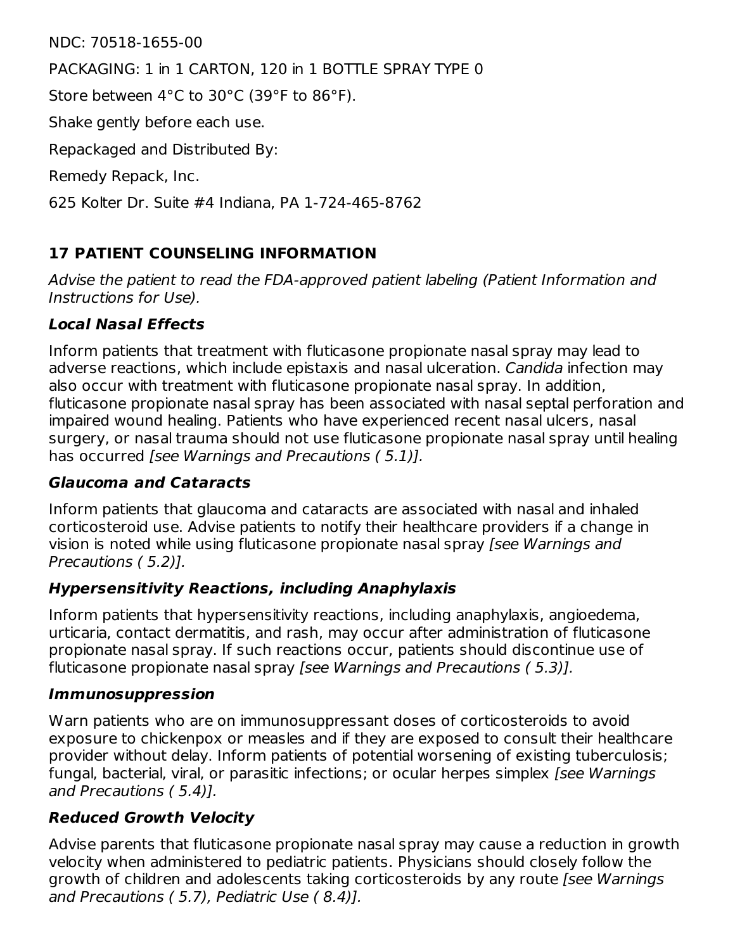NDC: 70518-1655-00

PACKAGING: 1 in 1 CARTON, 120 in 1 BOTTLE SPRAY TYPE 0

Store between 4°C to 30°C (39°F to 86°F).

Shake gently before each use.

Repackaged and Distributed By:

Remedy Repack, Inc.

625 Kolter Dr. Suite #4 Indiana, PA 1-724-465-8762

## **17 PATIENT COUNSELING INFORMATION**

Advise the patient to read the FDA-approved patient labeling (Patient Information and Instructions for Use).

#### **Local Nasal Effects**

Inform patients that treatment with fluticasone propionate nasal spray may lead to adverse reactions, which include epistaxis and nasal ulceration. Candida infection may also occur with treatment with fluticasone propionate nasal spray. In addition, fluticasone propionate nasal spray has been associated with nasal septal perforation and impaired wound healing. Patients who have experienced recent nasal ulcers, nasal surgery, or nasal trauma should not use fluticasone propionate nasal spray until healing has occurred [see Warnings and Precautions (5.1)].

#### **Glaucoma and Cataracts**

Inform patients that glaucoma and cataracts are associated with nasal and inhaled corticosteroid use. Advise patients to notify their healthcare providers if a change in vision is noted while using fluticasone propionate nasal spray [see Warnings and Precautions ( 5.2)].

#### **Hypersensitivity Reactions, including Anaphylaxis**

Inform patients that hypersensitivity reactions, including anaphylaxis, angioedema, urticaria, contact dermatitis, and rash, may occur after administration of fluticasone propionate nasal spray. If such reactions occur, patients should discontinue use of fluticasone propionate nasal spray [see Warnings and Precautions (5.3)].

#### **Immunosuppression**

Warn patients who are on immunosuppressant doses of corticosteroids to avoid exposure to chickenpox or measles and if they are exposed to consult their healthcare provider without delay. Inform patients of potential worsening of existing tuberculosis; fungal, bacterial, viral, or parasitic infections; or ocular herpes simplex [see Warnings] and Precautions ( 5.4)].

#### **Reduced Growth Velocity**

Advise parents that fluticasone propionate nasal spray may cause a reduction in growth velocity when administered to pediatric patients. Physicians should closely follow the growth of children and adolescents taking corticosteroids by any route [see Warnings and Precautions ( 5.7), Pediatric Use ( 8.4)].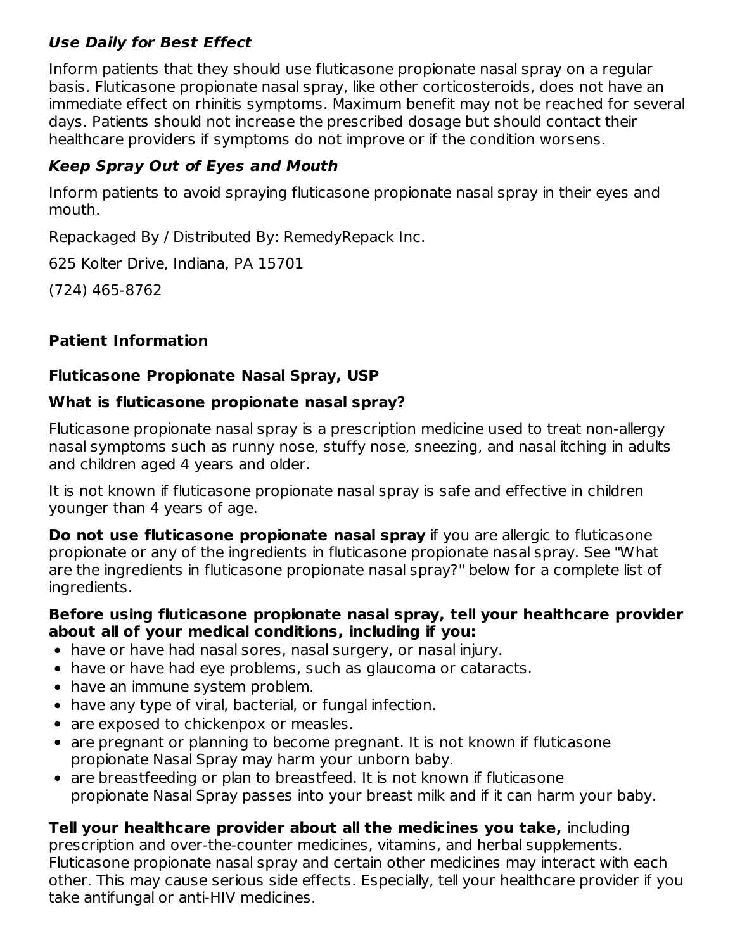#### **Use Daily for Best Effect**

Inform patients that they should use fluticasone propionate nasal spray on a regular basis. Fluticasone propionate nasal spray, like other corticosteroids, does not have an immediate effect on rhinitis symptoms. Maximum benefit may not be reached for several days. Patients should not increase the prescribed dosage but should contact their healthcare providers if symptoms do not improve or if the condition worsens.

## **Keep Spray Out of Eyes and Mouth**

Inform patients to avoid spraying fluticasone propionate nasal spray in their eyes and mouth.

Repackaged By / Distributed By: RemedyRepack Inc.

625 Kolter Drive, Indiana, PA 15701

(724) 465-8762

## **Patient Information**

#### **Fluticasone Propionate Nasal Spray, USP**

#### **What is fluticasone propionate nasal spray?**

Fluticasone propionate nasal spray is a prescription medicine used to treat non-allergy nasal symptoms such as runny nose, stuffy nose, sneezing, and nasal itching in adults and children aged 4 years and older.

It is not known if fluticasone propionate nasal spray is safe and effective in children younger than 4 years of age.

**Do not use fluticasone propionate nasal spray** if you are allergic to fluticasone propionate or any of the ingredients in fluticasone propionate nasal spray. See "What are the ingredients in fluticasone propionate nasal spray?" below for a complete list of ingredients.

#### **Before using fluticasone propionate nasal spray, tell your healthcare provider about all of your medical conditions, including if you:**

- have or have had nasal sores, nasal surgery, or nasal injury.
- have or have had eye problems, such as glaucoma or cataracts.
- have an immune system problem.
- have any type of viral, bacterial, or fungal infection.
- are exposed to chickenpox or measles.
- are pregnant or planning to become pregnant. It is not known if fluticasone propionate Nasal Spray may harm your unborn baby.
- are breastfeeding or plan to breastfeed. It is not known if fluticasone propionate Nasal Spray passes into your breast milk and if it can harm your baby.

## **Tell your healthcare provider about all the medicines you take,** including

prescription and over-the-counter medicines, vitamins, and herbal supplements. Fluticasone propionate nasal spray and certain other medicines may interact with each other. This may cause serious side effects. Especially, tell your healthcare provider if you take antifungal or anti-HIV medicines.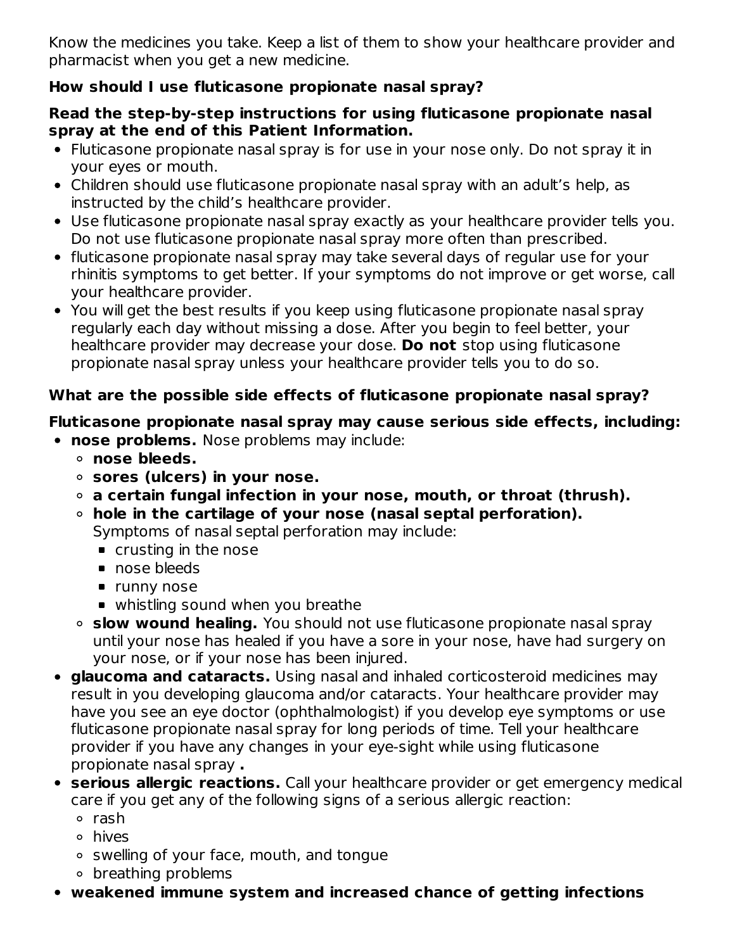Know the medicines you take. Keep a list of them to show your healthcare provider and pharmacist when you get a new medicine.

## **How should I use fluticasone propionate nasal spray?**

#### **Read the step-by-step instructions for using fluticasone propionate nasal spray at the end of this Patient Information.**

- Fluticasone propionate nasal spray is for use in your nose only. Do not spray it in your eyes or mouth.
- Children should use fluticasone propionate nasal spray with an adult's help, as instructed by the child's healthcare provider.
- Use fluticasone propionate nasal spray exactly as your healthcare provider tells you. Do not use fluticasone propionate nasal spray more often than prescribed.
- fluticasone propionate nasal spray may take several days of regular use for your rhinitis symptoms to get better. If your symptoms do not improve or get worse, call your healthcare provider.
- You will get the best results if you keep using fluticasone propionate nasal spray regularly each day without missing a dose. After you begin to feel better, your healthcare provider may decrease your dose. **Do not** stop using fluticasone propionate nasal spray unless your healthcare provider tells you to do so.

#### **What are the possible side effects of fluticasone propionate nasal spray?**

#### **Fluticasone propionate nasal spray may cause serious side effects, including:**

- **nose problems.** Nose problems may include:
	- **nose bleeds.**
	- **sores (ulcers) in your nose.**
	- **a certain fungal infection in your nose, mouth, or throat (thrush).**
	- **hole in the cartilage of your nose (nasal septal perforation).** Symptoms of nasal septal perforation may include:
		- crusting in the nose
		- nose bleeds
		- **runny nose**
		- whistling sound when you breathe
	- **slow wound healing.** You should not use fluticasone propionate nasal spray until your nose has healed if you have a sore in your nose, have had surgery on your nose, or if your nose has been injured.
- **glaucoma and cataracts.** Using nasal and inhaled corticosteroid medicines may result in you developing glaucoma and/or cataracts. Your healthcare provider may have you see an eye doctor (ophthalmologist) if you develop eye symptoms or use fluticasone propionate nasal spray for long periods of time. Tell your healthcare provider if you have any changes in your eye-sight while using fluticasone propionate nasal spray **.**
- **serious allergic reactions.** Call your healthcare provider or get emergency medical care if you get any of the following signs of a serious allergic reaction:
	- rash
	- hives
	- swelling of your face, mouth, and tongue
	- breathing problems
- **weakened immune system and increased chance of getting infections**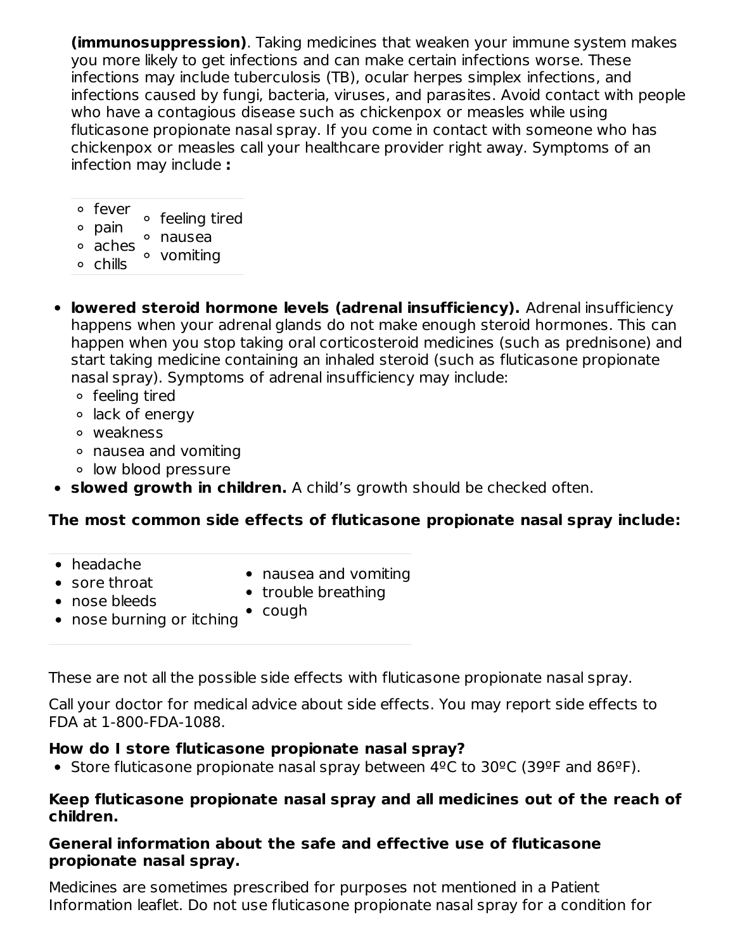**(immunosuppression)**. Taking medicines that weaken your immune system makes you more likely to get infections and can make certain infections worse. These infections may include tuberculosis (TB), ocular herpes simplex infections, and infections caused by fungi, bacteria, viruses, and parasites. Avoid contact with people who have a contagious disease such as chickenpox or measles while using fluticasone propionate nasal spray. If you come in contact with someone who has chickenpox or measles call your healthcare provider right away. Symptoms of an infection may include **:**

| ∘ fever            | ∘ feeling tired |
|--------------------|-----------------|
| ∘ pain             |                 |
|                    | ° nausea        |
| <sup>o</sup> aches | • vomiting      |
| o chills           |                 |

- **lowered steroid hormone levels (adrenal insufficiency).** Adrenal insufficiency happens when your adrenal glands do not make enough steroid hormones. This can happen when you stop taking oral corticosteroid medicines (such as prednisone) and start taking medicine containing an inhaled steroid (such as fluticasone propionate nasal spray). Symptoms of adrenal insufficiency may include:
	- feeling tired
	- $\circ$  lack of energy
	- weakness
	- nausea and vomiting
	- low blood pressure
- **slowed growth in children.** A child's growth should be checked often.

#### **The most common side effects of fluticasone propionate nasal spray include:**

- headache
- sore throat
- nausea and vomiting
- trouble breathing
- nose bleeds • nose burning or itching
	- cough

These are not all the possible side effects with fluticasone propionate nasal spray.

Call your doctor for medical advice about side effects. You may report side effects to FDA at 1-800-FDA-1088.

#### **How do I store fluticasone propionate nasal spray?**

Store fluticasone propionate nasal spray between 4ºC to 30ºC (39ºF and 86ºF).

#### **Keep fluticasone propionate nasal spray and all medicines out of the reach of children.**

#### **General information about the safe and effective use of fluticasone propionate nasal spray.**

Medicines are sometimes prescribed for purposes not mentioned in a Patient Information leaflet. Do not use fluticasone propionate nasal spray for a condition for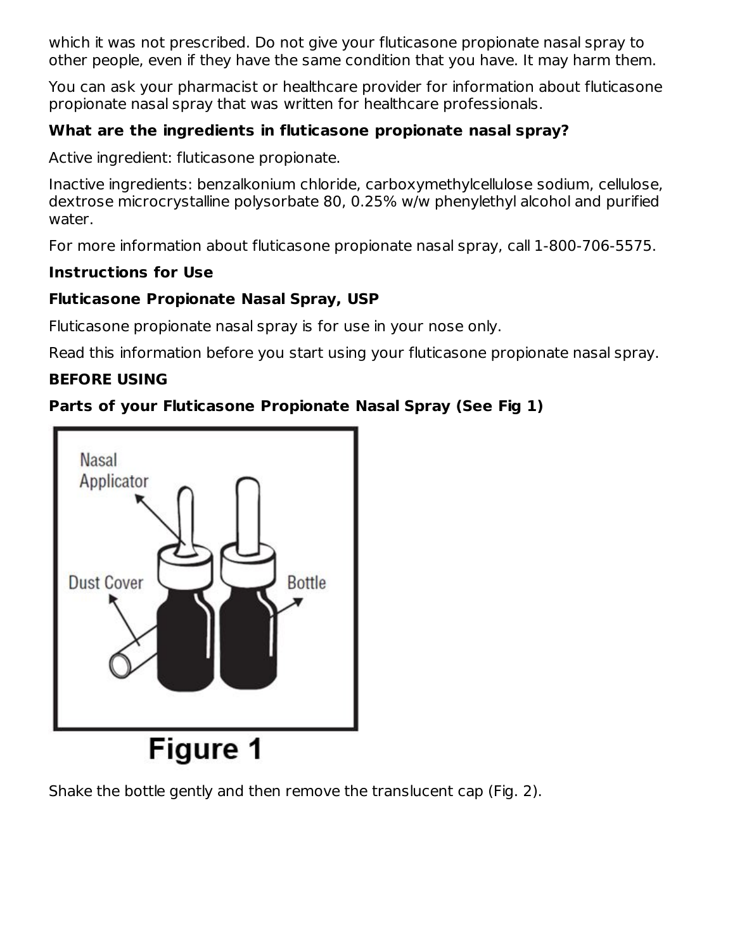which it was not prescribed. Do not give your fluticasone propionate nasal spray to other people, even if they have the same condition that you have. It may harm them.

You can ask your pharmacist or healthcare provider for information about fluticasone propionate nasal spray that was written for healthcare professionals.

## **What are the ingredients in fluticasone propionate nasal spray?**

Active ingredient: fluticasone propionate.

Inactive ingredients: benzalkonium chloride, carboxymethylcellulose sodium, cellulose, dextrose microcrystalline polysorbate 80, 0.25% w/w phenylethyl alcohol and purified water.

For more information about fluticasone propionate nasal spray, call 1-800-706-5575.

## **Instructions for Use**

## **Fluticasone Propionate Nasal Spray, USP**

Fluticasone propionate nasal spray is for use in your nose only.

Read this information before you start using your fluticasone propionate nasal spray.

## **BEFORE USING**

## **Parts of your Fluticasone Propionate Nasal Spray (See Fig 1)**



Shake the bottle gently and then remove the translucent cap (Fig. 2).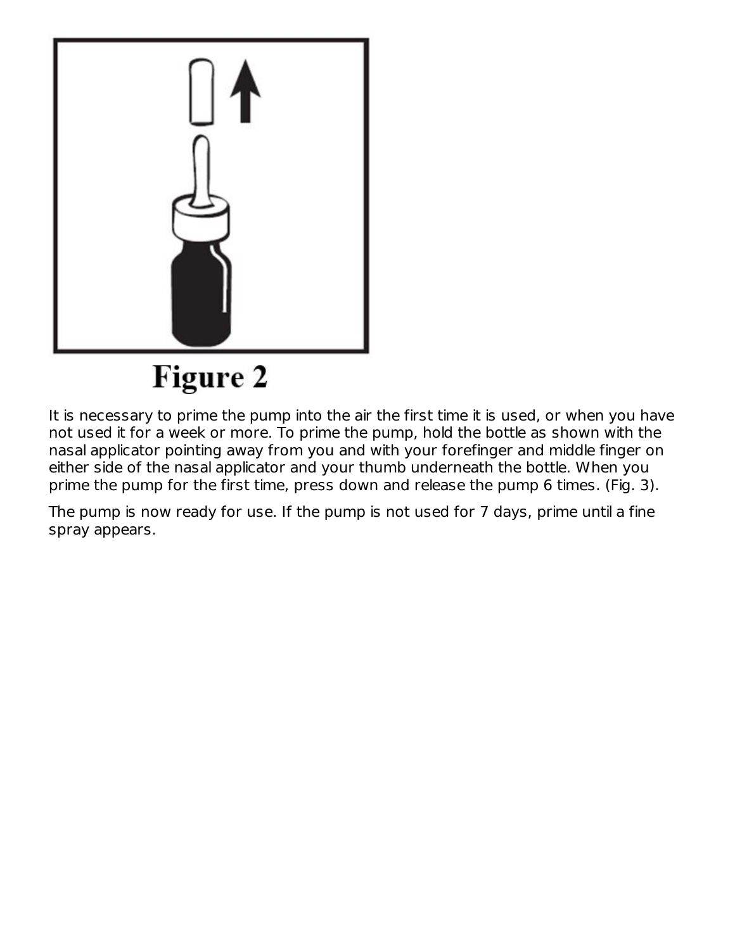

**Figure 2** 

It is necessary to prime the pump into the air the first time it is used, or when you have not used it for a week or more. To prime the pump, hold the bottle as shown with the nasal applicator pointing away from you and with your forefinger and middle finger on either side of the nasal applicator and your thumb underneath the bottle. When you prime the pump for the first time, press down and release the pump 6 times. (Fig. 3).

The pump is now ready for use. If the pump is not used for 7 days, prime until a fine spray appears.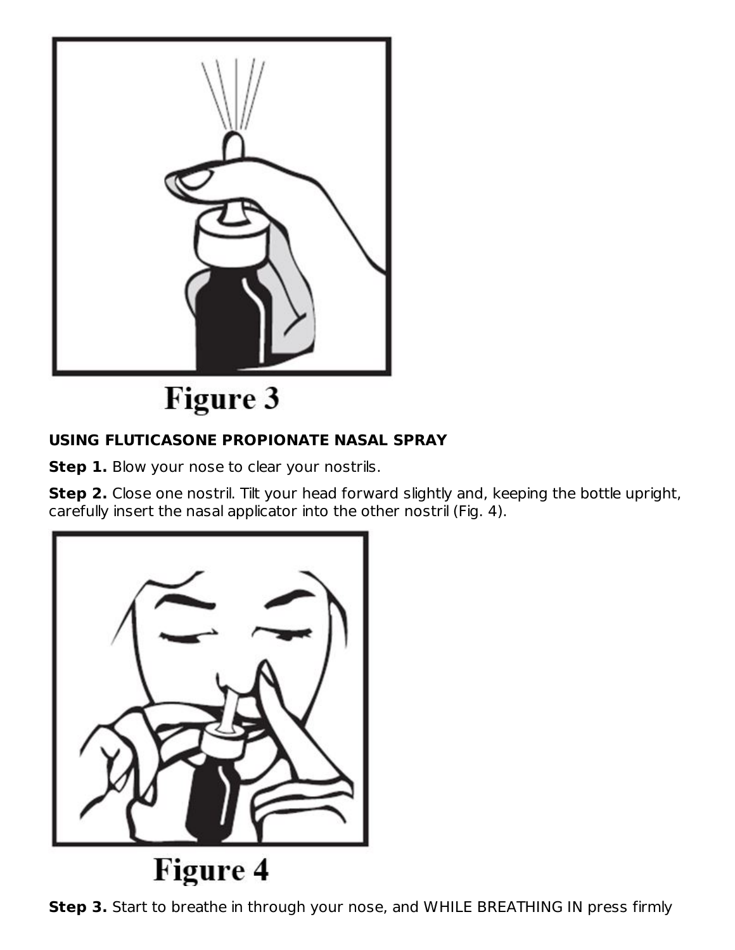

# **Figure 3**

## **USING FLUTICASONE PROPIONATE NASAL SPRAY**

**Step 1.** Blow your nose to clear your nostrils.

**Step 2.** Close one nostril. Tilt your head forward slightly and, keeping the bottle upright, carefully insert the nasal applicator into the other nostril (Fig. 4).



**Step 3.** Start to breathe in through your nose, and WHILE BREATHING IN press firmly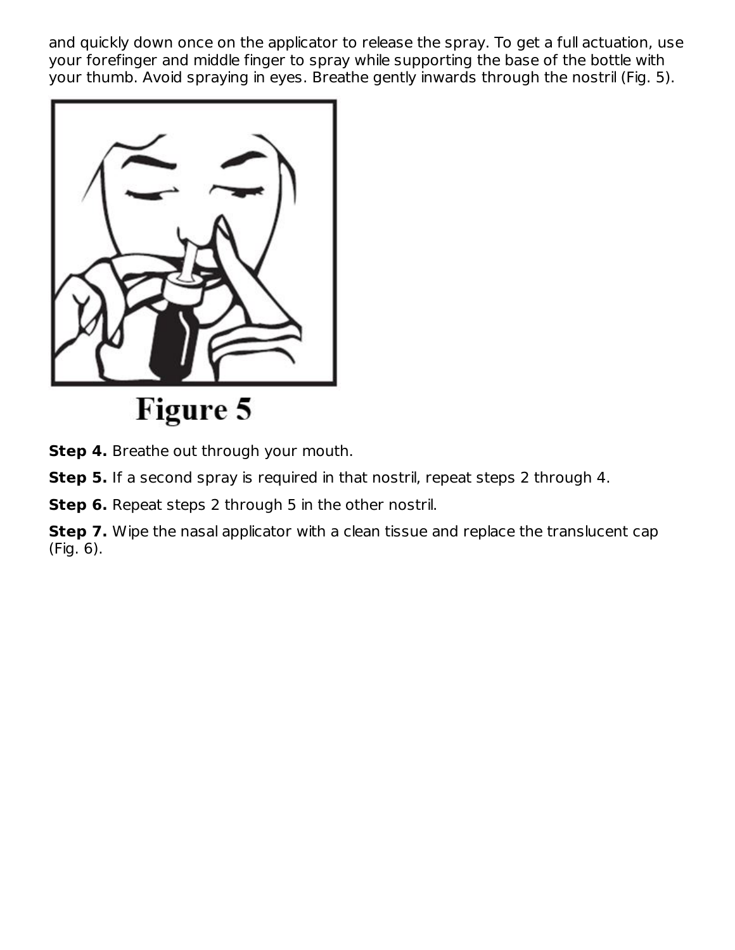and quickly down once on the applicator to release the spray. To get a full actuation, use your forefinger and middle finger to spray while supporting the base of the bottle with your thumb. Avoid spraying in eyes. Breathe gently inwards through the nostril (Fig. 5).



Figure 5

**Step 4.** Breathe out through your mouth.

**Step 5.** If a second spray is required in that nostril, repeat steps 2 through 4.

**Step 6.** Repeat steps 2 through 5 in the other nostril.

**Step 7.** Wipe the nasal applicator with a clean tissue and replace the translucent cap (Fig. 6).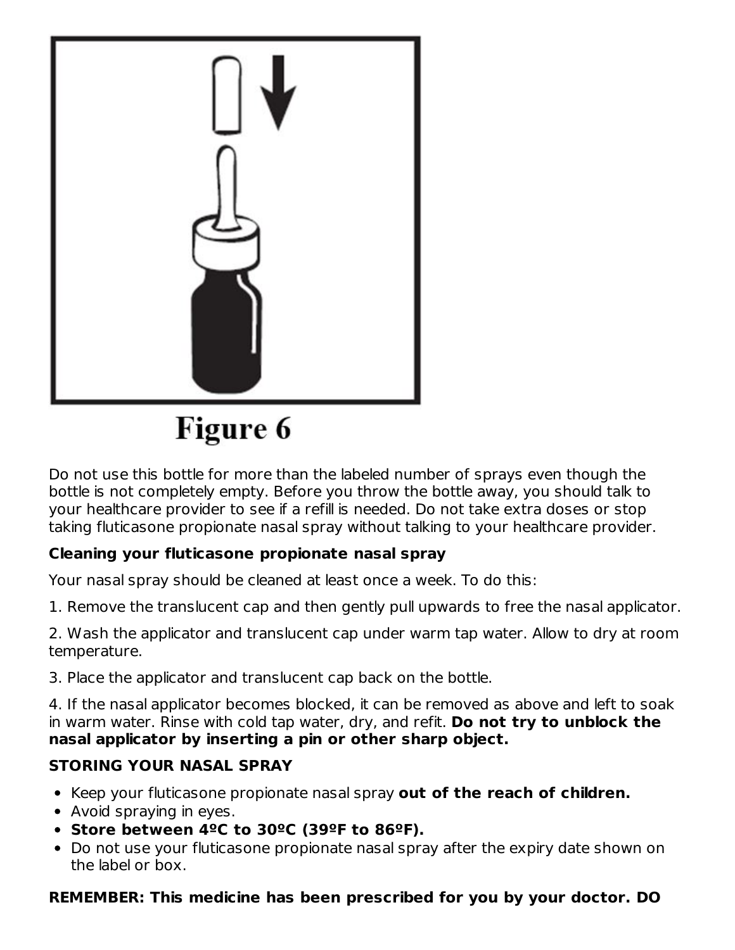

Figure 6

Do not use this bottle for more than the labeled number of sprays even though the bottle is not completely empty. Before you throw the bottle away, you should talk to your healthcare provider to see if a refill is needed. Do not take extra doses or stop taking fluticasone propionate nasal spray without talking to your healthcare provider.

## **Cleaning your fluticasone propionate nasal spray**

Your nasal spray should be cleaned at least once a week. To do this:

1. Remove the translucent cap and then gently pull upwards to free the nasal applicator.

2. Wash the applicator and translucent cap under warm tap water. Allow to dry at room temperature.

3. Place the applicator and translucent cap back on the bottle.

4. If the nasal applicator becomes blocked, it can be removed as above and left to soak in warm water. Rinse with cold tap water, dry, and refit. **Do not try to unblock the nasal applicator by inserting a pin or other sharp object.**

## **STORING YOUR NASAL SPRAY**

- Keep your fluticasone propionate nasal spray **out of the reach of children.**
- Avoid spraying in eyes.
- **Store between 4ºC to 30ºC (39ºF to 86ºF).**
- Do not use your fluticasone propionate nasal spray after the expiry date shown on the label or box.

## **REMEMBER: This medicine has been prescribed for you by your doctor. DO**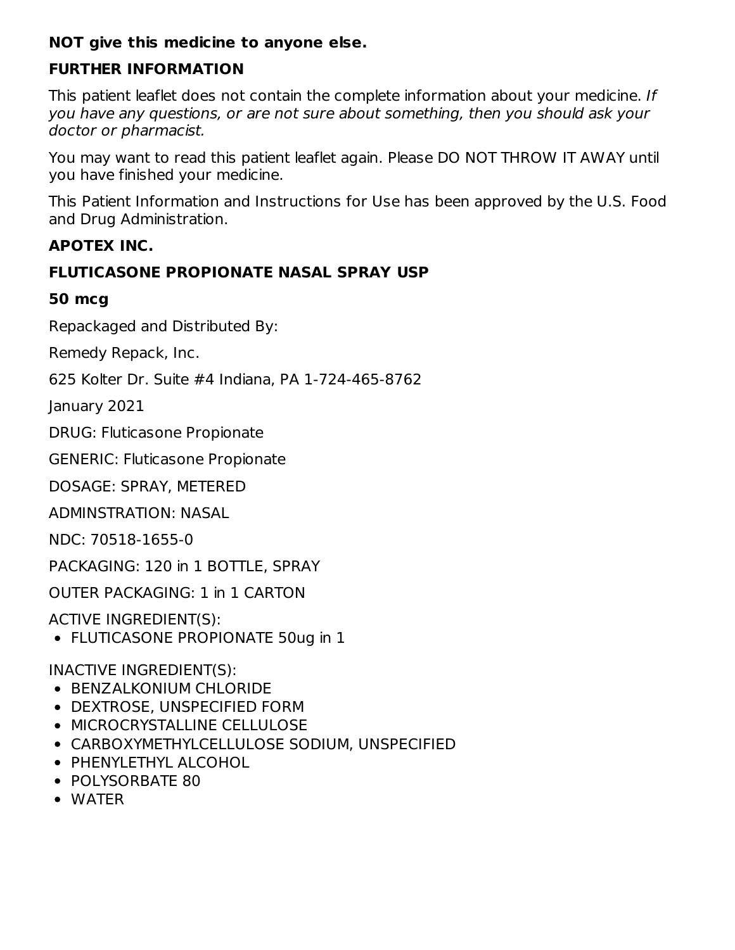#### **NOT give this medicine to anyone else.**

#### **FURTHER INFORMATION**

This patient leaflet does not contain the complete information about your medicine. If you have any questions, or are not sure about something, then you should ask your doctor or pharmacist.

You may want to read this patient leaflet again. Please DO NOT THROW IT AWAY until you have finished your medicine.

This Patient Information and Instructions for Use has been approved by the U.S. Food and Drug Administration.

#### **APOTEX INC.**

#### **FLUTICASONE PROPIONATE NASAL SPRAY USP**

#### **50 mcg**

Repackaged and Distributed By:

Remedy Repack, Inc.

625 Kolter Dr. Suite #4 Indiana, PA 1-724-465-8762

January 2021

DRUG: Fluticasone Propionate

GENERIC: Fluticasone Propionate

DOSAGE: SPRAY, METERED

ADMINSTRATION: NASAL

NDC: 70518-1655-0

PACKAGING: 120 in 1 BOTTLE, SPRAY

OUTER PACKAGING: 1 in 1 CARTON

ACTIVE INGREDIENT(S):

FLUTICASONE PROPIONATE 50ug in 1

INACTIVE INGREDIENT(S):

- **BENZALKONIUM CHLORIDE**
- DEXTROSE, UNSPECIFIED FORM
- MICROCRYSTALLINE CELLULOSE
- CARBOXYMETHYLCELLULOSE SODIUM, UNSPECIFIED
- PHENYLETHYL ALCOHOL
- POLYSORBATE 80
- WATER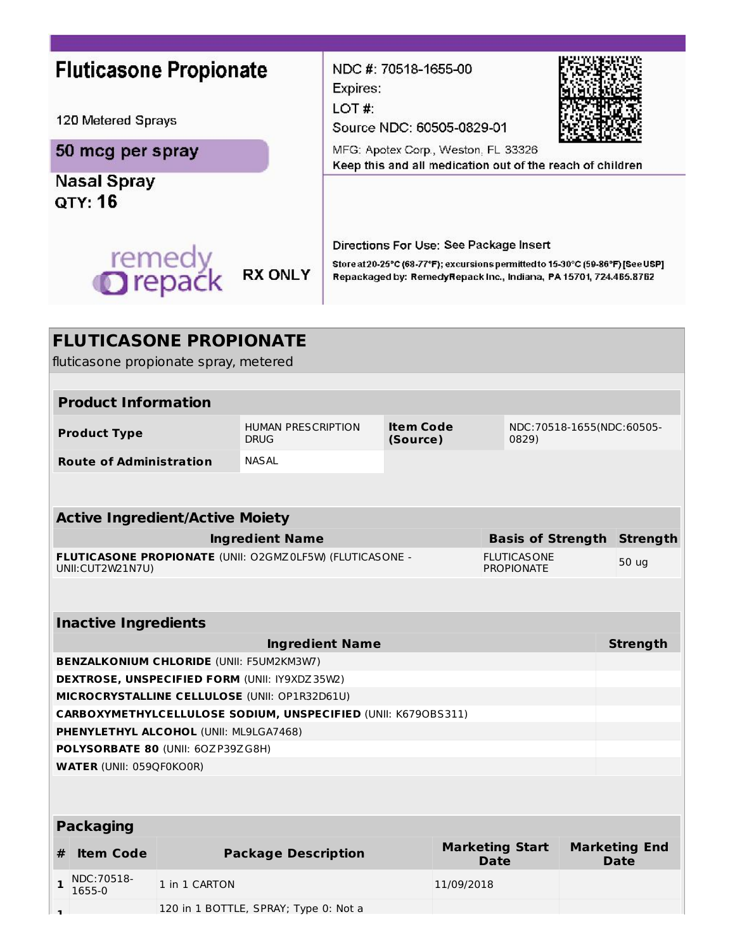| <b>Fluticasone Propionate</b><br>120 Metered Sprays<br>50 mcg per spray<br><b>Nasal Spray</b><br>от <b>ү: 16</b><br>remedy<br><b>O</b> repack<br><b>RX ONLY</b> |                                          | NDC #: 70518-1655-00<br>Expires:<br>LOT#:<br>Source NDC: 60505-0829-01<br>MFG: Apotex Corp., Weston, FL 33326<br>Keep this and all medication out of the reach of children<br>Directions For Use: See Package Insert<br>Store at 20-25°C (68-77°F); excursions permitted to 15-30°C (59-86°F) [See USP]<br>Repackaged by: RemedyRepack Inc., Indiana, PA 15701, 724.465.8762 |                              |                                         |                                    |       |                      |
|-----------------------------------------------------------------------------------------------------------------------------------------------------------------|------------------------------------------|------------------------------------------------------------------------------------------------------------------------------------------------------------------------------------------------------------------------------------------------------------------------------------------------------------------------------------------------------------------------------|------------------------------|-----------------------------------------|------------------------------------|-------|----------------------|
| <b>FLUTICASONE PROPIONATE</b><br>fluticasone propionate spray, metered                                                                                          |                                          |                                                                                                                                                                                                                                                                                                                                                                              |                              |                                         |                                    |       |                      |
| <b>Product Information</b>                                                                                                                                      |                                          |                                                                                                                                                                                                                                                                                                                                                                              |                              |                                         |                                    |       |                      |
| <b>Product Type</b>                                                                                                                                             | <b>HUMAN PRESCRIPTION</b><br><b>DRUG</b> |                                                                                                                                                                                                                                                                                                                                                                              | <b>Item Code</b><br>(Source) |                                         | NDC:70518-1655(NDC:60505-<br>0829) |       |                      |
| <b>Route of Administration</b>                                                                                                                                  | <b>NASAL</b>                             |                                                                                                                                                                                                                                                                                                                                                                              |                              |                                         |                                    |       |                      |
|                                                                                                                                                                 |                                          |                                                                                                                                                                                                                                                                                                                                                                              |                              |                                         |                                    |       |                      |
| <b>Active Ingredient/Active Moiety</b>                                                                                                                          |                                          |                                                                                                                                                                                                                                                                                                                                                                              |                              |                                         |                                    |       |                      |
|                                                                                                                                                                 | <b>Ingredient Name</b>                   |                                                                                                                                                                                                                                                                                                                                                                              |                              |                                         | <b>Basis of Strength</b>           |       | <b>Strength</b>      |
| FLUTICASONE PROPIONATE (UNII: O2GMZ0LF5W) (FLUTICASONE -<br>UNII: CUT2W21N7U)                                                                                   |                                          |                                                                                                                                                                                                                                                                                                                                                                              |                              | <b>FLUTICASONE</b><br><b>PROPIONATE</b> |                                    | 50 ug |                      |
| <b>Inactive Ingredients</b>                                                                                                                                     |                                          |                                                                                                                                                                                                                                                                                                                                                                              |                              |                                         |                                    |       |                      |
|                                                                                                                                                                 | <b>Ingredient Name</b>                   |                                                                                                                                                                                                                                                                                                                                                                              |                              |                                         |                                    |       | <b>Strength</b>      |
| <b>BENZALKONIUM CHLORIDE (UNII: F5UM2KM3W7)</b>                                                                                                                 |                                          |                                                                                                                                                                                                                                                                                                                                                                              |                              |                                         |                                    |       |                      |
| <b>DEXTROSE, UNSPECIFIED FORM (UNII: IY9XDZ35W2)</b>                                                                                                            |                                          |                                                                                                                                                                                                                                                                                                                                                                              |                              |                                         |                                    |       |                      |
| MICROCRYSTALLINE CELLULOSE (UNII: OP1R32D61U)                                                                                                                   |                                          |                                                                                                                                                                                                                                                                                                                                                                              |                              |                                         |                                    |       |                      |
| <b>CARBOXYMETHYLCELLULOSE SODIUM, UNSPECIFIED (UNII: K6790BS311)</b>                                                                                            |                                          |                                                                                                                                                                                                                                                                                                                                                                              |                              |                                         |                                    |       |                      |
| PHENYLETHYL ALCOHOL (UNII: ML9LGA7468)                                                                                                                          |                                          |                                                                                                                                                                                                                                                                                                                                                                              |                              |                                         |                                    |       |                      |
| POLYSORBATE 80 (UNII: 60ZP39ZG8H)                                                                                                                               |                                          |                                                                                                                                                                                                                                                                                                                                                                              |                              |                                         |                                    |       |                      |
| <b>WATER (UNII: 059QF0KO0R)</b>                                                                                                                                 |                                          |                                                                                                                                                                                                                                                                                                                                                                              |                              |                                         |                                    |       |                      |
|                                                                                                                                                                 |                                          |                                                                                                                                                                                                                                                                                                                                                                              |                              |                                         |                                    |       |                      |
| <b>Packaging</b>                                                                                                                                                |                                          |                                                                                                                                                                                                                                                                                                                                                                              |                              |                                         |                                    |       |                      |
| <b>Item Code</b><br>#                                                                                                                                           | <b>Package Description</b>               |                                                                                                                                                                                                                                                                                                                                                                              |                              |                                         | <b>Marketing Start</b>             |       | <b>Marketing End</b> |
| NDC: 70518-<br>$\mathbf{1}$<br>1 in 1 CARTON                                                                                                                    |                                          |                                                                                                                                                                                                                                                                                                                                                                              |                              |                                         | Date                               |       | Date                 |
| 1655-0                                                                                                                                                          |                                          |                                                                                                                                                                                                                                                                                                                                                                              |                              | 11/09/2018                              |                                    |       |                      |